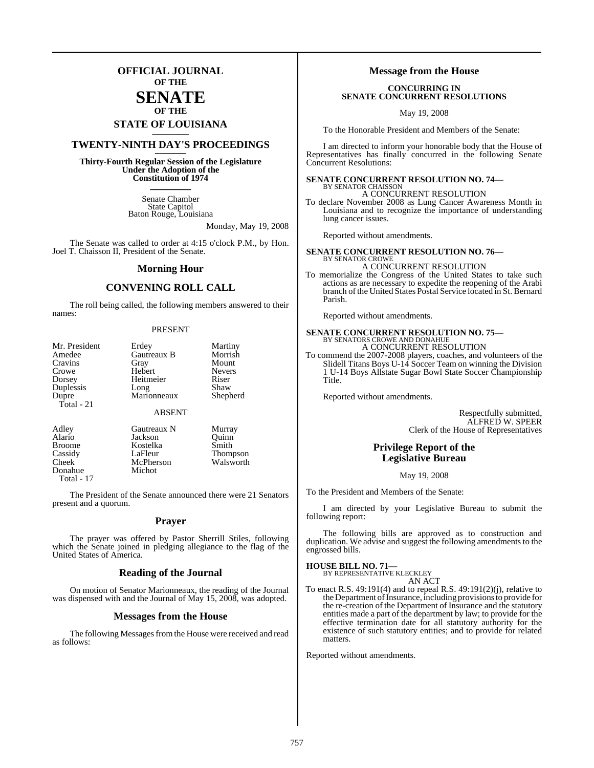## **OFFICIAL JOURNAL OF THE**

#### **SENATE OF THE**

# **STATE OF LOUISIANA \_\_\_\_\_\_\_**

## **TWENTY-NINTH DAY'S PROCEEDINGS \_\_\_\_\_\_\_**

**Thirty-Fourth Regular Session of the Legislature Under the Adoption of the Constitution of 1974 \_\_\_\_\_\_\_**

> Senate Chamber State Capitol Baton Rouge, Louisiana

> > Monday, May 19, 2008

The Senate was called to order at 4:15 o'clock P.M., by Hon. Joel T. Chaisson II, President of the Senate.

#### **Morning Hour**

## **CONVENING ROLL CALL**

The roll being called, the following members answered to their names:

#### PRESENT

| Mr. President | Erdey         | Martiny         |
|---------------|---------------|-----------------|
| Amedee        | Gautreaux B   | Morrish         |
| Cravins       | Gray          | Mount           |
| Crowe         | Hebert        | Nevers          |
| Dorsey        | Heitmeier     | Riser           |
| Duplessis     | Long          | Shaw            |
| Dupre         | Marionneaux   | Shepherd        |
| Total - 21    |               |                 |
|               | <b>ABSENT</b> |                 |
| Adley         | Gautreaux N   | Murray          |
| Alario        | Jackson       | Ouinn           |
| <b>Broome</b> | Kostelka      | Smith           |
| Cassidy       | LaFleur       | <b>Thompson</b> |
| Cheek         | McPherson     | Walsworth       |
| Donahue       | Michot        |                 |

Total - 17

The President of the Senate announced there were 21 Senators present and a quorum.

#### **Prayer**

The prayer was offered by Pastor Sherrill Stiles, following which the Senate joined in pledging allegiance to the flag of the United States of America.

#### **Reading of the Journal**

On motion of Senator Marionneaux, the reading of the Journal was dispensed with and the Journal of May 15, 2008, was adopted.

#### **Messages from the House**

The following Messages from the House were received and read as follows:

#### **Message from the House**

#### **CONCURRING IN SENATE CONCURRENT RESOLUTIONS**

May 19, 2008

To the Honorable President and Members of the Senate:

I am directed to inform your honorable body that the House of Representatives has finally concurred in the following Senate Concurrent Resolutions:

## **SENATE CONCURRENT RESOLUTION NO. 74—** BY SENATOR CHAISSON A CONCURRENT RESOLUTION

To declare November 2008 as Lung Cancer Awareness Month in Louisiana and to recognize the importance of understanding lung cancer issues.

Reported without amendments.

**SENATE CONCURRENT RESOLUTION NO. 76—** BY SENATOR CROWE A CONCURRENT RESOLUTION

To memorialize the Congress of the United States to take such actions as are necessary to expedite the reopening of the Arabi branch of the United States Postal Service located in St. Bernard Parish.

Reported without amendments.

# **SENATE CONCURRENT RESOLUTION NO. 75—**<br>BY SENATORS CROWE AND DONAHUE A CONCURRENT RESOLUTION

To commend the 2007-2008 players, coaches, and volunteers of the Slidell Titans Boys U-14 Soccer Team on winning the Division 1 U-14 Boys Allstate Sugar Bowl State Soccer Championship Title.

Reported without amendments.

Respectfully submitted, ALFRED W. SPEER Clerk of the House of Representatives

## **Privilege Report of the Legislative Bureau**

#### May 19, 2008

To the President and Members of the Senate:

I am directed by your Legislative Bureau to submit the following report:

The following bills are approved as to construction and duplication. We advise and suggest the following amendments to the engrossed bills.

#### **HOUSE BILL NO. 71—**

BY REPRESENTATIVE KLECKLEY AN ACT

To enact R.S. 49:191(4) and to repeal R.S. 49:191(2)(j), relative to the Department of Insurance, including provisions to provide for the re-creation of the Department of Insurance and the statutory entities made a part of the department by law; to provide for the effective termination date for all statutory authority for the existence of such statutory entities; and to provide for related matters.

Reported without amendments.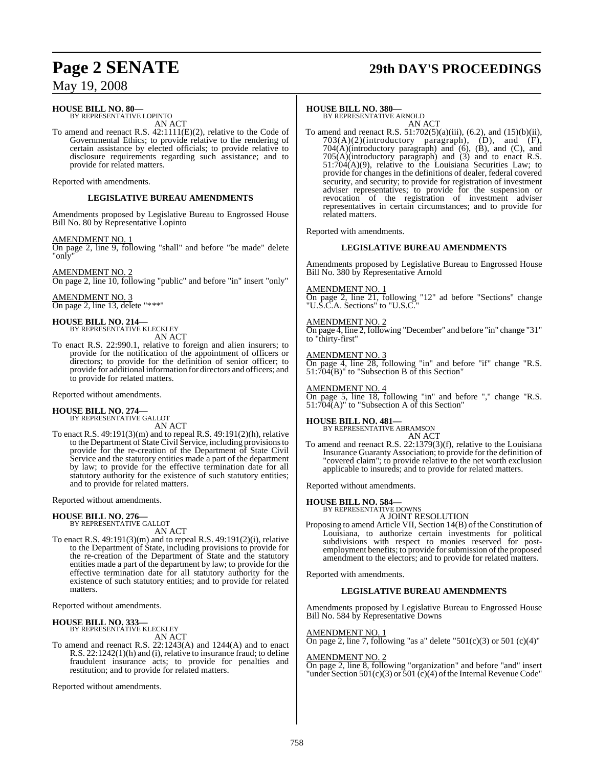#### **HOUSE BILL NO. 80—** BY REPRESENTATIVE LOPINTO

AN ACT

To amend and reenact R.S. 42:1111(E)(2), relative to the Code of Governmental Ethics; to provide relative to the rendering of certain assistance by elected officials; to provide relative to disclosure requirements regarding such assistance; and to provide for related matters.

Reported with amendments.

## **LEGISLATIVE BUREAU AMENDMENTS**

Amendments proposed by Legislative Bureau to Engrossed House Bill No. 80 by Representative Lopinto

AMENDMENT NO. 1

On page 2, line 9, following "shall" and before "be made" delete "only"

AMENDMENT NO. 2

On page 2, line 10, following "public" and before "in" insert "only"

AMENDMENT NO. 3 On page 2, line 13, delete "\*\*\*"

**HOUSE BILL NO. 214—** BY REPRESENTATIVE KLECKLEY

AN ACT

To enact R.S. 22:990.1, relative to foreign and alien insurers; to provide for the notification of the appointment of officers or directors; to provide for the definition of senior officer; to provide for additional information for directors and officers; and to provide for related matters.

Reported without amendments.

# **HOUSE BILL NO. 274—** BY REPRESENTATIVE GALLOT

AN ACT

To enact R.S. 49:191(3)(m) and to repeal R.S. 49:191(2)(h), relative to the Department of State Civil Service, including provisionsto provide for the re-creation of the Department of State Civil Service and the statutory entities made a part of the department by law; to provide for the effective termination date for all statutory authority for the existence of such statutory entities; and to provide for related matters.

Reported without amendments.

# **HOUSE BILL NO. 276—** BY REPRESENTATIVE GALLOT

AN ACT

To enact R.S. 49:191(3)(m) and to repeal R.S. 49:191(2)(i), relative to the Department of State, including provisions to provide for the re-creation of the Department of State and the statutory entities made a part of the department by law; to provide for the effective termination date for all statutory authority for the existence of such statutory entities; and to provide for related matters.

Reported without amendments.

**HOUSE BILL NO. 333—** BY REPRESENTATIVE KLECKLEY AN ACT

To amend and reenact R.S. 22:1243(A) and 1244(A) and to enact R.S. 22:1242(1)(h) and (i), relative to insurance fraud; to define fraudulent insurance acts; to provide for penalties and restitution; and to provide for related matters.

Reported without amendments.

# **Page 2 SENATE 29th DAY'S PROCEEDINGS**

#### **HOUSE BILL NO. 380—**

BY REPRESENTATIVE ARNOLD AN ACT

To amend and reenact R.S.  $51:702(5)(a)(iii)$ ,  $(6.2)$ , and  $(15)(b)(ii)$ ,  $703(A)(2)$ (introductory paragraph),  $(D)$ , and  $(F)$ , 704(A)(introductory paragraph) and (6), (B), and (C), and 705(A)(introductory paragraph) and (3) and to enact R.S. 51:704(A)(9), relative to the Louisiana Securities Law; to provide for changes in the definitions of dealer, federal covered security, and security; to provide for registration of investment adviser representatives; to provide for the suspension or revocation of the registration of investment adviser representatives in certain circumstances; and to provide for related matters.

Reported with amendments.

#### **LEGISLATIVE BUREAU AMENDMENTS**

Amendments proposed by Legislative Bureau to Engrossed House Bill No. 380 by Representative Arnold

#### AMENDMENT NO. 1

On page 2, line 21, following "12" ad before "Sections" change "U.S.C.A. Sections" to "U.S.C."

#### AMENDMENT NO. 2

On page 4, line 2, following "December" and before "in" change "31" to "thirty-first"

#### AMENDMENT NO. 3

On page 4, line 28, following "in" and before "if" change "R.S. 51:704(B)" to "Subsection B of this Section"

#### AMENDMENT NO. 4

On page 5, line 18, following "in" and before "," change "R.S. 51:704(A)" to "Subsection A of this Section"

**HOUSE BILL NO. 481—** BY REPRESENTATIVE ABRAMSON AN ACT

To amend and reenact R.S. 22:1379(3)(f), relative to the Louisiana Insurance Guaranty Association; to provide for the definition of "covered claim"; to provide relative to the net worth exclusion applicable to insureds; and to provide for related matters.

Reported without amendments.

#### **HOUSE BILL NO. 584—**

BY REPRESENTATIVE DOWNS A JOINT RESOLUTION

Proposing to amend Article VII, Section 14(B) of the Constitution of Louisiana, to authorize certain investments for political subdivisions with respect to monies reserved for postemployment benefits; to provide for submission of the proposed amendment to the electors; and to provide for related matters.

Reported with amendments.

#### **LEGISLATIVE BUREAU AMENDMENTS**

Amendments proposed by Legislative Bureau to Engrossed House Bill No. 584 by Representative Downs

#### AMENDMENT NO. 1

On page 2, line 7, following "as a" delete "501(c)(3) or 501 (c)(4)"

#### AMENDMENT NO. 2

On page 2, line 8, following "organization" and before "and" insert "under Section  $501(c)(3)$  or  $501(c)(4)$  of the Internal Revenue Code"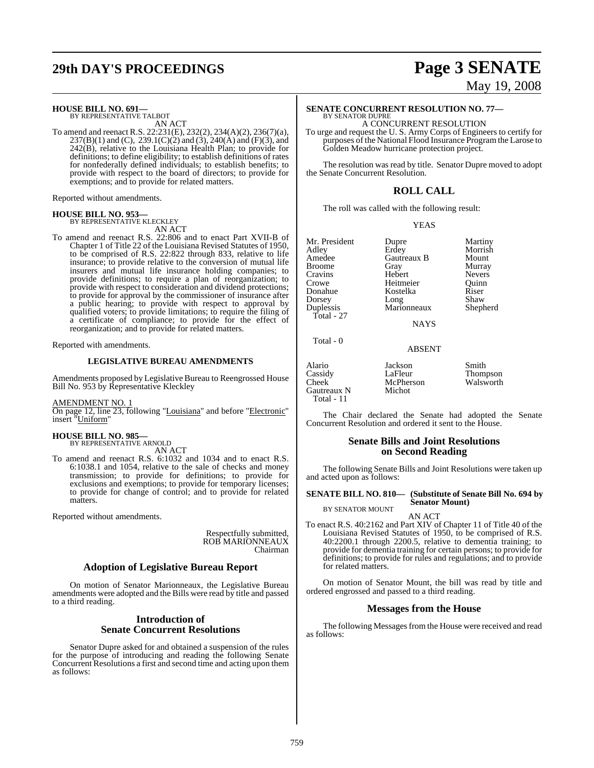# **29th DAY'S PROCEEDINGS Page 3 SENATE**

# **HOUSE BILL NO. 691—** BY REPRESENTATIVE TALBOT

AN ACT

To amend and reenact R.S. 22:231(E), 232(2), 234(A)(2), 236(7)(a), 237(B)(1) and (C), 239.1(C)(2) and (3), 240(A) and (F)(3), and 242(B), relative to the Louisiana Health Plan; to provide for definitions; to define eligibility; to establish definitions of rates for nonfederally defined individuals; to establish benefits; to provide with respect to the board of directors; to provide for exemptions; and to provide for related matters.

Reported without amendments.

#### **HOUSE BILL NO. 953—**

BY REPRESENTATIVE KLECKLEY AN ACT

To amend and reenact R.S. 22:806 and to enact Part XVII-B of Chapter 1 of Title 22 of the Louisiana Revised Statutes of 1950, to be comprised of R.S. 22:822 through 833, relative to life insurance; to provide relative to the conversion of mutual life insurers and mutual life insurance holding companies; to provide definitions; to require a plan of reorganization; to provide with respect to consideration and dividend protections; to provide for approval by the commissioner of insurance after a public hearing; to provide with respect to approval by qualified voters; to provide limitations; to require the filing of a certificate of compliance; to provide for the effect of reorganization; and to provide for related matters.

Reported with amendments.

#### **LEGISLATIVE BUREAU AMENDMENTS**

Amendments proposed by Legislative Bureau to Reengrossed House Bill No. 953 by Representative Kleckley

AMENDMENT NO. 1

On page 12, line 23, following "Louisiana" and before "Electronic" insert "Uniform"

# **HOUSE BILL NO. 985—** BY REPRESENTATIVE ARNOLD

- AN ACT
- To amend and reenact R.S. 6:1032 and 1034 and to enact R.S. 6:1038.1 and 1054, relative to the sale of checks and money transmission; to provide for definitions; to provide for exclusions and exemptions; to provide for temporary licenses; to provide for change of control; and to provide for related matters.

Reported without amendments.

Respectfully submitted, ROB MARIONNEAUX Chairman

#### **Adoption of Legislative Bureau Report**

On motion of Senator Marionneaux, the Legislative Bureau amendments were adopted and the Bills were read by title and passed to a third reading.

#### **Introduction of Senate Concurrent Resolutions**

Senator Dupre asked for and obtained a suspension of the rules for the purpose of introducing and reading the following Senate Concurrent Resolutions a first and second time and acting upon them as follows:

# May 19, 2008

# **SENATE CONCURRENT RESOLUTION NO. 77—** BY SENATOR DUPRE

A CONCURRENT RESOLUTION

To urge and request the U. S. Army Corps of Engineers to certify for purposes of the National Flood Insurance Program the Larose to Golden Meadow hurricane protection project.

The resolution was read by title. Senator Dupre moved to adopt the Senate Concurrent Resolution.

## **ROLL CALL**

The roll was called with the following result:

YEAS

Adley Erdey Morrish Broome Gray Murray Crowe Heitmeier Quinn Total - 27

Total - 0

Hebert Marionneaux

Mr. President Dupre Martiny<br>Adley Erdey Morrish **American**<br> **American Cray B Contain Cray Contain Contain Contain Contain Contain** Kostelka Riser<br>Long Shaw Dorsey Long Shaw<br>
Duplessis Marionneaux Shepherd

**NAYS** 

ABSENT

Alario Jackson Smith Cassidy LaFleur Thompson McPherson Walsworth Gautreaux N Total - 11

The Chair declared the Senate had adopted the Senate Concurrent Resolution and ordered it sent to the House.

#### **Senate Bills and Joint Resolutions on Second Reading**

The following Senate Bills and Joint Resolutions were taken up and acted upon as follows:

**SENATE BILL NO. 810— (Substitute of Senate Bill No. 694 by Senator Mount)** BY SENATOR MOUNT

AN ACT

To enact R.S. 40:2162 and Part XIV of Chapter 11 of Title 40 of the Louisiana Revised Statutes of 1950, to be comprised of R.S. 40:2200.1 through 2200.5, relative to dementia training; to provide for dementia training for certain persons; to provide for definitions; to provide for rules and regulations; and to provide for related matters.

On motion of Senator Mount, the bill was read by title and ordered engrossed and passed to a third reading.

#### **Messages from the House**

The following Messages from the House were received and read as follows: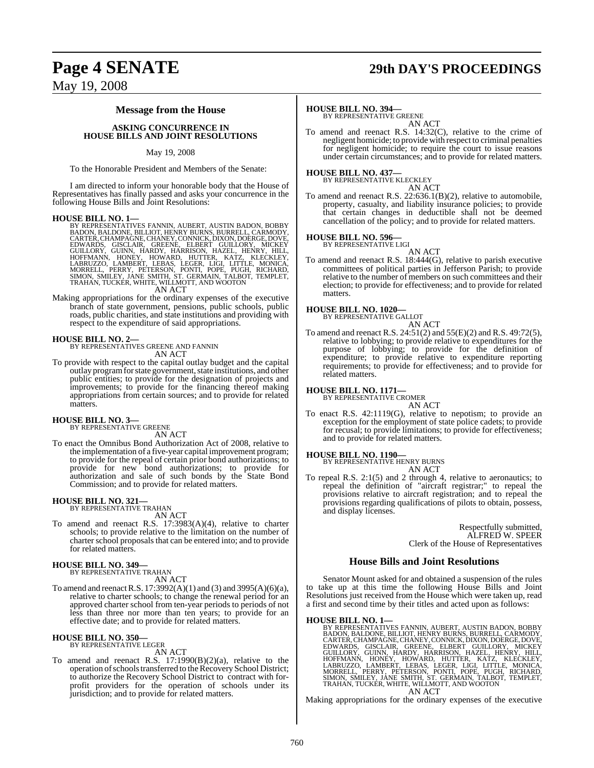# **Page 4 SENATE 29th DAY'S PROCEEDINGS**

## May 19, 2008

#### **Message from the House**

#### **ASKING CONCURRENCE IN HOUSE BILLS AND JOINT RESOLUTIONS**

#### May 19, 2008

To the Honorable President and Members of the Senate:

I am directed to inform your honorable body that the House of Representatives has finally passed and asks your concurrence in the following House Bills and Joint Resolutions:

**HOUSE BILL NO. 1—** BY REPRESENTATIVES FANNIN, AUBERT, AUSTIN BADON, BOBBY BADON, BALDONE, BILLIOT, HENRY BURNS, BURRELL, CARMODY,<br>CARTER, CHAMPAGNE, CHANEY, CONNICK, DIXON, DOERGE, DOVE,<br>EDWARDS, GISCLAIR, GREENE, CELBERT GUILLORY, MICKEY<br>GUILLORY, GUINN, HARDY, HARRISON, HAZEL, HENRY, HILL,<br>HOF

AN ACT

Making appropriations for the ordinary expenses of the executive branch of state government, pensions, public schools, public roads, public charities, and state institutions and providing with respect to the expenditure of said appropriations.

**HOUSE BILL NO. 2—** BY REPRESENTATIVES GREENE AND FANNIN AN ACT

To provide with respect to the capital outlay budget and the capital outlay program for state government, state institutions, and other public entities; to provide for the designation of projects and improvements; to provide for the financing thereof making appropriations from certain sources; and to provide for related matters.

#### **HOUSE BILL NO. 3—** BY REPRESENTATIVE GREENE

AN ACT

To enact the Omnibus Bond Authorization Act of 2008, relative to the implementation of a five-year capital improvement program; to provide for the repeal of certain prior bond authorizations; to provide for new bond authorizations; to provide for authorization and sale of such bonds by the State Bond Commission; and to provide for related matters.

# **HOUSE BILL NO. 321—** BY REPRESENTATIVE TRAHAN

AN ACT

To amend and reenact R.S. 17:3983(A)(4), relative to charter schools; to provide relative to the limitation on the number of charter school proposals that can be entered into; and to provide for related matters.

**HOUSE BILL NO. 349—** BY REPRESENTATIVE TRAHAN AN ACT

To amend and reenactR.S. 17:3992(A)(1) and (3) and 3995(A)(6)(a), relative to charter schools; to change the renewal period for an approved charter school from ten-year periods to periods of not less than three nor more than ten years; to provide for an effective date; and to provide for related matters.

#### **HOUSE BILL NO. 350—** BY REPRESENTATIVE LEGER

AN ACT

To amend and reenact R.S. 17:1990(B)(2)(a), relative to the operation of schools transferred to the Recovery School District; to authorize the Recovery School District to contract with forprofit providers for the operation of schools under its jurisdiction; and to provide for related matters.

#### **HOUSE BILL NO. 394—**

BY REPRESENTATIVE GREENE AN ACT

To amend and reenact R.S. 14:32(C), relative to the crime of negligent homicide; to provide with respect to criminal penalties for negligent homicide; to require the court to issue reasons under certain circumstances; and to provide for related matters.

# **HOUSE BILL NO. 437—** BY REPRESENTATIVE KLECKLEY

AN ACT

To amend and reenact R.S. 22:636.1(B)(2), relative to automobile, property, casualty, and liability insurance policies; to provide that certain changes in deductible shall not be deemed cancellation of the policy; and to provide for related matters.

# **HOUSE BILL NO. 596—** BY REPRESENTATIVE LIGI

AN ACT

To amend and reenact R.S. 18:444(G), relative to parish executive committees of political parties in Jefferson Parish; to provide relative to the number of members on such committees and their election; to provide for effectiveness; and to provide for related matters.

#### **HOUSE BILL NO. 1020—**

BY REPRESENTATIVE GALLOT AN ACT

To amend and reenact R.S. 24:51(2) and 55(E)(2) and R.S. 49:72(5), relative to lobbying; to provide relative to expenditures for the purpose of lobbying; to provide for the definition of expenditure; to provide relative to expenditure reporting requirements; to provide for effectiveness; and to provide for related matters.

#### **HOUSE BILL NO. 1171—**

BY REPRESENTATIVE CROMER AN ACT

To enact R.S. 42:1119(G), relative to nepotism; to provide an exception for the employment of state police cadets; to provide for recusal; to provide limitations; to provide for effectiveness; and to provide for related matters.

**HOUSE BILL NO. 1190—** BY REPRESENTATIVE HENRY BURNS AN ACT

To repeal R.S. 2:1(5) and 2 through 4, relative to aeronautics; to repeal the definition of "aircraft registrar;" to repeal the provisions relative to aircraft registration; and to repeal the provisions regarding qualifications of pilots to obtain, possess, and display licenses.

> Respectfully submitted, ALFRED W. SPEER Clerk of the House of Representatives

#### **House Bills and Joint Resolutions**

Senator Mount asked for and obtained a suspension of the rules to take up at this time the following House Bills and Joint Resolutions just received from the House which were taken up, read a first and second time by their titles and acted upon as follows:

HOUSE BILL NO. 1—<br>BY REPRESENTATIVES FANNIN, AUBERT, AUSTIN BADON, BOBBY<br>BADON, BALDONE, BILLIOT, HENRY BURNS, BURRELL, CARMODY,<br>CARTER, CHAMPAGNE, CHANEY, CONNICK, DIXON, DOERGE, DOVE,<br>EDWARDS, GISICLAIR, GREENE, ELBERT G

Making appropriations for the ordinary expenses of the executive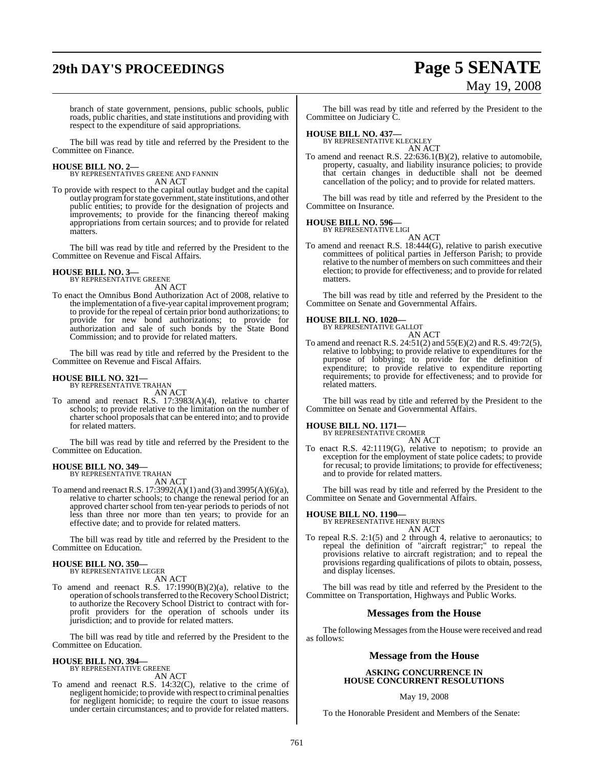# **29th DAY'S PROCEEDINGS Page 5 SENATE**

# May 19, 2008

branch of state government, pensions, public schools, public roads, public charities, and state institutions and providing with respect to the expenditure of said appropriations.

The bill was read by title and referred by the President to the Committee on Finance.

#### **HOUSE BILL NO. 2—**

BY REPRESENTATIVES GREENE AND FANNIN AN ACT

To provide with respect to the capital outlay budget and the capital outlay programfor state government, state institutions, and other public entities; to provide for the designation of projects and improvements; to provide for the financing thereof making appropriations from certain sources; and to provide for related matters.

The bill was read by title and referred by the President to the Committee on Revenue and Fiscal Affairs.

# **HOUSE BILL NO. 3—** BY REPRESENTATIVE GREENE

AN ACT

To enact the Omnibus Bond Authorization Act of 2008, relative to the implementation of a five-year capital improvement program; to provide for the repeal of certain prior bond authorizations; to provide for new bond authorizations; to provide for authorization and sale of such bonds by the State Bond Commission; and to provide for related matters.

The bill was read by title and referred by the President to the Committee on Revenue and Fiscal Affairs.

# **HOUSE BILL NO. 321—** BY REPRESENTATIVE TRAHAN

AN ACT

To amend and reenact R.S. 17:3983(A)(4), relative to charter schools; to provide relative to the limitation on the number of charter school proposals that can be entered into; and to provide for related matters.

The bill was read by title and referred by the President to the Committee on Education.

# **HOUSE BILL NO. 349—** BY REPRESENTATIVE TRAHAN

AN ACT

To amend and reenactR.S. 17:3992(A)(1) and (3) and 3995(A)(6)(a), relative to charter schools; to change the renewal period for an approved charter school from ten-year periods to periods of not less than three nor more than ten years; to provide for an effective date; and to provide for related matters.

The bill was read by title and referred by the President to the Committee on Education.

# **HOUSE BILL NO. 350—** BY REPRESENTATIVE LEGER

AN ACT

To amend and reenact R.S. 17:1990(B)(2)(a), relative to the operation of schools transferred to the Recovery School District; to authorize the Recovery School District to contract with forprofit providers for the operation of schools under its jurisdiction; and to provide for related matters.

The bill was read by title and referred by the President to the Committee on Education.

# **HOUSE BILL NO. 394—** BY REPRESENTATIVE GREENE

AN ACT

To amend and reenact R.S. 14:32(C), relative to the crime of negligent homicide; to provide with respect to criminal penalties for negligent homicide; to require the court to issue reasons under certain circumstances; and to provide for related matters.

The bill was read by title and referred by the President to the Committee on Judiciary C.

# **HOUSE BILL NO. 437—** BY REPRESENTATIVE KLECKLEY

AN ACT

To amend and reenact R.S. 22:636.1(B)(2), relative to automobile, property, casualty, and liability insurance policies; to provide that certain changes in deductible shall not be deemed cancellation of the policy; and to provide for related matters.

The bill was read by title and referred by the President to the Committee on Insurance.

#### **HOUSE BILL NO. 596—**

BY REPRESENTATIVE LIGI AN ACT

To amend and reenact R.S. 18:444(G), relative to parish executive committees of political parties in Jefferson Parish; to provide relative to the number of members on such committees and their election; to provide for effectiveness; and to provide for related matters.

The bill was read by title and referred by the President to the Committee on Senate and Governmental Affairs.

#### **HOUSE BILL NO. 1020—**

BY REPRESENTATIVE GALLOT AN ACT

To amend and reenact R.S. 24:51(2) and 55(E)(2) and R.S. 49:72(5), relative to lobbying; to provide relative to expenditures for the purpose of lobbying; to provide for the definition of expenditure; to provide relative to expenditure reporting requirements; to provide for effectiveness; and to provide for related matters.

The bill was read by title and referred by the President to the Committee on Senate and Governmental Affairs.

# **HOUSE BILL NO. 1171—** BY REPRESENTATIVE CROMER

AN ACT

To enact R.S. 42:1119(G), relative to nepotism; to provide an exception for the employment of state police cadets; to provide for recusal; to provide limitations; to provide for effectiveness; and to provide for related matters.

The bill was read by title and referred by the President to the Committee on Senate and Governmental Affairs.

#### **HOUSE BILL NO. 1190—**

BY REPRESENTATIVE HENRY BURNS AN ACT

To repeal R.S. 2:1(5) and 2 through 4, relative to aeronautics; to repeal the definition of "aircraft registrar;" to repeal the provisions relative to aircraft registration; and to repeal the provisions regarding qualifications of pilots to obtain, possess, and display licenses.

The bill was read by title and referred by the President to the Committee on Transportation, Highways and Public Works.

#### **Messages from the House**

The following Messages from the House were received and read as follows:

#### **Message from the House**

#### **ASKING CONCURRENCE IN HOUSE CONCURRENT RESOLUTIONS**

#### May 19, 2008

To the Honorable President and Members of the Senate: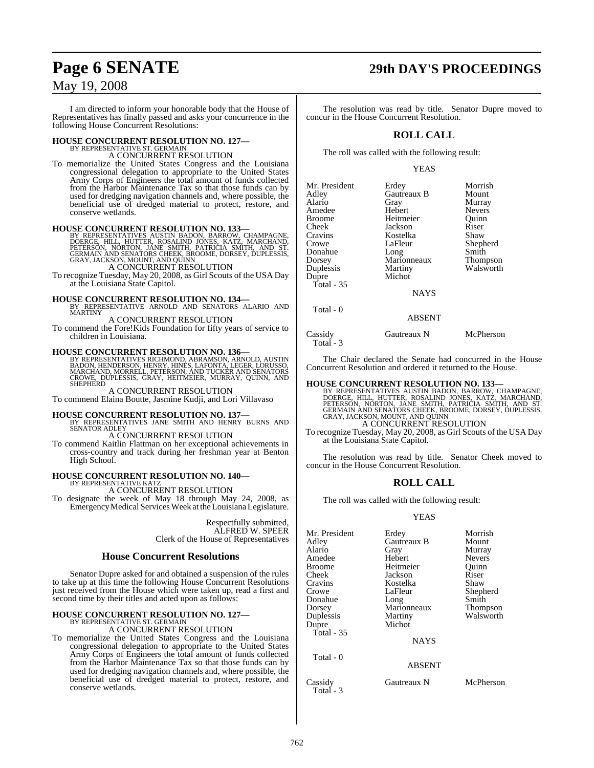# **Page 6 SENATE 29th DAY'S PROCEEDINGS**

## May 19, 2008

I am directed to inform your honorable body that the House of Representatives has finally passed and asks your concurrence in the following House Concurrent Resolutions:

# **HOUSE CONCURRENT RESOLUTION NO. 127—** BY REPRESENTATIVE ST. GERMAIN A CONCURRENT RESOLUTION

To memorialize the United States Congress and the Louisiana congressional delegation to appropriate to the United States Army Corps of Engineers the total amount of funds collected from the Harbor Maintenance Tax so that those funds can by used for dredging navigation channels and, where possible, the beneficial use of dredged material to protect, restore, and conserve wetlands.

**HOUSE CONCURRENT RESOLUTION NO. 133**<br>BY REPRESENTATIVES AUSTIN BADON, BARROW, CHAMPAGNE,<br>DOERGE, HILL, HUTTER, ROSALIND JONES, KATZ, MARCHAND,<br>PETERSON, NORTON, JANE SMITH, PATRICIA SMITH, AND ST.<br>GRAY, JACKSON, MOUNT, AN

A CONCURRENT RESOLUTION

To recognize Tuesday, May 20, 2008, as Girl Scouts of the USA Day at the Louisiana State Capitol.

# **HOUSE CONCURRENT RESOLUTION NO. 134—** BY REPRESENTATIVE ARNOLD AND SENATORS ALARIO AND

**MARTINY** A CONCURRENT RESOLUTION

To commend the Fore!Kids Foundation for fifty years of service to children in Louisiana.

**HOUSE CONCURRENT RESOLUTION NO. 136—**<br>BY REPRESENTATIVES RICHMOND, ABRAMSON, ARNOLD, AUSTIN<br>BADON, HENDERSON, HENRY, HINES, LAFONTA, LEGER, LORUSSO,<br>MARCHAND, MORRELL, PETERSON, AND TUCKER AND SENATORS<br>CROWE, DUPLESSIS, G SHEPHERD

A CONCURRENT RESOLUTION To commend Elaina Boutte, Jasmine Kudji, and Lori Villavaso

**HOUSE CONCURRENT RESOLUTION NO. 137—** BY REPRESENTATIVES JANE SMITH AND HENRY BURNS AND SENATOR ADLEY

A CONCURRENT RESOLUTION

To commend Kaitlin Flattman on her exceptional achievements in cross-country and track during her freshman year at Benton High School.

# **HOUSE CONCURRENT RESOLUTION NO. 140—** BY REPRESENTATIVE KATZ

A CONCURRENT RESOLUTION

To designate the week of May 18 through May 24, 2008, as EmergencyMedical ServicesWeek at the Louisiana Legislature.

> Respectfully submitted, ALFRED W. SPEER Clerk of the House of Representatives

## **House Concurrent Resolutions**

Senator Dupre asked for and obtained a suspension of the rules to take up at this time the following House Concurrent Resolutions just received from the House which were taken up, read a first and second time by their titles and acted upon as follows:

# **HOUSE CONCURRENT RESOLUTION NO. 127—** BY REPRESENTATIVE ST. GERMAIN

A CONCURRENT RESOLUTION

To memorialize the United States Congress and the Louisiana congressional delegation to appropriate to the United States Army Corps of Engineers the total amount of funds collected from the Harbor Maintenance Tax so that those funds can by used for dredging navigation channels and, where possible, the beneficial use of dredged material to protect, restore, and conserve wetlands.

The resolution was read by title. Senator Dupre moved to concur in the House Concurrent Resolution.

## **ROLL CALL**

The roll was called with the following result:

#### YEAS

| Mr. President | Erdey         | Morrish       |
|---------------|---------------|---------------|
| Adley         | Gautreaux B   | Mount         |
| Alario        | Gray          | Murray        |
| Amedee        | Hebert        | <b>Nevers</b> |
| Broome        | Heitmeier     | Ouinn         |
| Cheek         | Jackson       | Riser         |
| Cravins       | Kostelka      | Shaw          |
| Crowe         | LaFleur       | Shepherd      |
| Donahue       | Long          | Smith         |
| Dorsey        | Marionneaux   | Thompson      |
| Duplessis     | Martiny       | Walsworth     |
| Dupre         | Michot        |               |
| Total - $35$  |               |               |
|               | <b>NAYS</b>   |               |
| Total - 0     |               |               |
|               | <b>ABSENT</b> |               |
|               |               |               |

Cassidy Gautreaux N McPherson Total - 3

The Chair declared the Senate had concurred in the House Concurrent Resolution and ordered it returned to the House.

#### **HOUSE CONCURRENT RESOLUTION NO. 133—**

BY REPRESENTATIVES AUSTIN BADON, BARROW, CHAMPAGNE,<br>DOERGE, HILL, HUTTER, ROSALIND JONES, KATZ, MARCHAND,<br>PETERSON, NORTON, JANE SMITH, PATRIČIA SMITH, AND ST.<br>GERMAIN AND SENATORS CHEEK, BROOME, DORSEY, DUPLESSIS,<br>GRAY, J A CONCURRENT RESOLUTION

To recognize Tuesday, May 20, 2008, as Girl Scouts of the USA Day at the Louisiana State Capitol.

The resolution was read by title. Senator Cheek moved to concur in the House Concurrent Resolution.

### **ROLL CALL**

The roll was called with the following result:

#### YEAS

| Mr. President        | Erdey         | Morrish       |
|----------------------|---------------|---------------|
| Adley                | Gautreaux B   | Mount         |
| Alario               | Gray          | Murray        |
| Amedee               | Hebert        | <b>Nevers</b> |
| Broome               | Heitmeier     | Ouinn         |
| Cheek                | Jackson       | Riser         |
| Cravins              | Kostelka      | Shaw          |
| Crowe                | LaFleur       | Shepherd      |
| Donahue              | Long          | Smith         |
| Dorsey               | Marionneaux   | Thompson      |
| Duplessis            | Martiny       | Walsworth     |
| Dupre                | Michot        |               |
| Total - 35           |               |               |
|                      | <b>NAYS</b>   |               |
| Total - 0            |               |               |
|                      | <b>ABSENT</b> |               |
| Cassidy<br>Total - 3 | Gautreaux N   | McPherson     |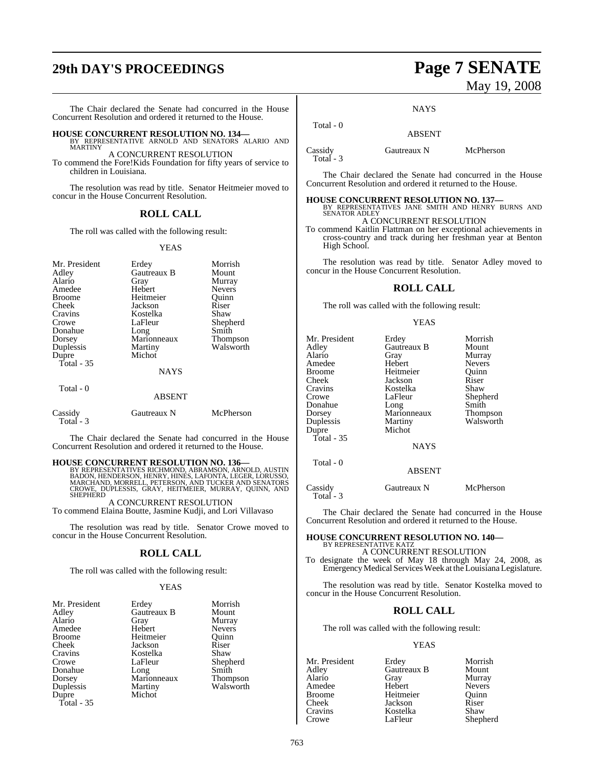# **29th DAY'S PROCEEDINGS Page 7 SENATE**

The Chair declared the Senate had concurred in the House Concurrent Resolution and ordered it returned to the House.

**HOUSE CONCURRENT RESOLUTION NO. 134—** BY REPRESENTATIVE ARNOLD AND SENATORS ALARIO AND MARTINY

A CONCURRENT RESOLUTION To commend the Fore!Kids Foundation for fifty years of service to children in Louisiana.

The resolution was read by title. Senator Heitmeier moved to concur in the House Concurrent Resolution.

### **ROLL CALL**

The roll was called with the following result:

#### YEAS

| Mr. President<br>Adley<br>Alario<br>Amedee<br><b>Broome</b><br>Cheek<br>Cravins<br>Crowe<br>Donahue<br>Dorsey<br>Duplessis<br>Dupre<br>Total $-35$<br>Total - 0 | Erdey<br>Gautreaux B<br>Gray<br>Hebert<br>Heitmeier<br>Jackson<br>Kostelka<br>LaFleur<br>Long<br>Marionneaux<br>Martiny<br>Michot<br><b>NAYS</b> | Morrish<br>Mount<br>Murray<br><b>Nevers</b><br>Quinn<br>Riser<br>Shaw<br>Shepherd<br>Smith<br>Thompson<br>Walsworth |
|-----------------------------------------------------------------------------------------------------------------------------------------------------------------|--------------------------------------------------------------------------------------------------------------------------------------------------|---------------------------------------------------------------------------------------------------------------------|
|                                                                                                                                                                 | <b>ABSENT</b>                                                                                                                                    |                                                                                                                     |
| Cassidy<br>Total - 3                                                                                                                                            | Gautreaux N                                                                                                                                      | McPherson                                                                                                           |

The Chair declared the Senate had concurred in the House Concurrent Resolution and ordered it returned to the House.

#### **HOUSE CONCURRENT RESOLUTION NO. 136—**

BY REPRESENTATIVES RICHMOND, ABRAMSON, ARNOLD, AUSTIN<br>BADON, HENDERSON, HENRY, HINES, LAFONTA, LEGER, LORUSSO,<br>MARCHAND, MORRELL, PETERSON, AND TUCKER AND SENATORS<br>CROWE, DUPLESSIS, GRAY, HEITMEIER, MURRAY, QUINN, AND **SHEPHERD** 

A CONCURRENT RESOLUTION To commend Elaina Boutte, Jasmine Kudji, and Lori Villavaso

The resolution was read by title. Senator Crowe moved to concur in the House Concurrent Resolution.

#### **ROLL CALL**

The roll was called with the following result:

#### YEAS

| Mr. President | Erdey       | Morrish         |
|---------------|-------------|-----------------|
| Adley         | Gautreaux B | Mount           |
| Alario        | Gray        | Murray          |
| Amedee        | Hebert      | <b>Nevers</b>   |
| <b>Broome</b> | Heitmeier   | Ouinn           |
| Cheek         | Jackson     | Riser           |
| Cravins       | Kostelka    | Shaw            |
| Crowe         | LaFleur     | Shepherd        |
| Donahue       | Long        | Smith           |
| Dorsey        | Marionneaux | <b>Thompson</b> |
| Duplessis     | Martiny     | Walsworth       |
| Dupre         | Michot      |                 |
| Total - 35    |             |                 |

# May 19, 2008

**NAYS** 

 Total - 0 ABSENT

Cassidy Gautreaux N McPherson Total - 3

Total - 3

The Chair declared the Senate had concurred in the House Concurrent Resolution and ordered it returned to the House.

# **HOUSE CONCURRENT RESOLUTION NO. 137—** BY REPRESENTATIVES JANE SMITH AND HENRY BURNS AND

SENATOR ADLEY A CONCURRENT RESOLUTION

To commend Kaitlin Flattman on her exceptional achievements in cross-country and track during her freshman year at Benton High School.

The resolution was read by title. Senator Adley moved to concur in the House Concurrent Resolution.

#### **ROLL CALL**

The roll was called with the following result:

#### YEAS

| Mr. President<br>Adley<br>Alario<br>Amedee<br>Broome<br>Cheek<br>Cravins<br>Crowe<br>Donahue<br>Dorsey<br>Duplessis<br>Dupre<br>Total - 35 | Erdey<br>Gautreaux B<br>Gray<br>Hebert<br>Heitmeier<br>Jackson<br>Kostelka<br>LaFleur<br>Long<br>Marionneaux<br>Martiny<br>Michot<br><b>NAYS</b> | Morrish<br>Mount<br>Murray<br><b>Nevers</b><br>Quinn<br>Riser<br>Shaw<br>Shepherd<br>Smith<br><b>Thompson</b><br>Walsworth |
|--------------------------------------------------------------------------------------------------------------------------------------------|--------------------------------------------------------------------------------------------------------------------------------------------------|----------------------------------------------------------------------------------------------------------------------------|
|                                                                                                                                            |                                                                                                                                                  |                                                                                                                            |
| Total - 0                                                                                                                                  | <b>ABSENT</b>                                                                                                                                    |                                                                                                                            |
| Cassidy                                                                                                                                    | Gautreaux N                                                                                                                                      | McPherson                                                                                                                  |

The Chair declared the Senate had concurred in the House Concurrent Resolution and ordered it returned to the House.

#### **HOUSE CONCURRENT RESOLUTION NO. 140—** BY REPRESENTATIVE KATZ

A CONCURRENT RESOLUTION

To designate the week of May 18 through May 24, 2008, as Emergency Medical Services Week at the Louisiana Legislature.

The resolution was read by title. Senator Kostelka moved to concur in the House Concurrent Resolution.

#### **ROLL CALL**

The roll was called with the following result:

#### YEAS

Mr. President Erdey Morrish<br>Adley Gautreaux B Mount Adley Gautreaux B<br>Alario Gray Gray Murray<br>Hebert Nevers Amedee Hebert Nevers<br>Broome Heitmeier Quinn Broome Heitmeier Quinn<br>Cheek Jackson Riser Cheek Jackson<br>Cravins Kostelka Cravins Kostelka Shaw Shepherd

763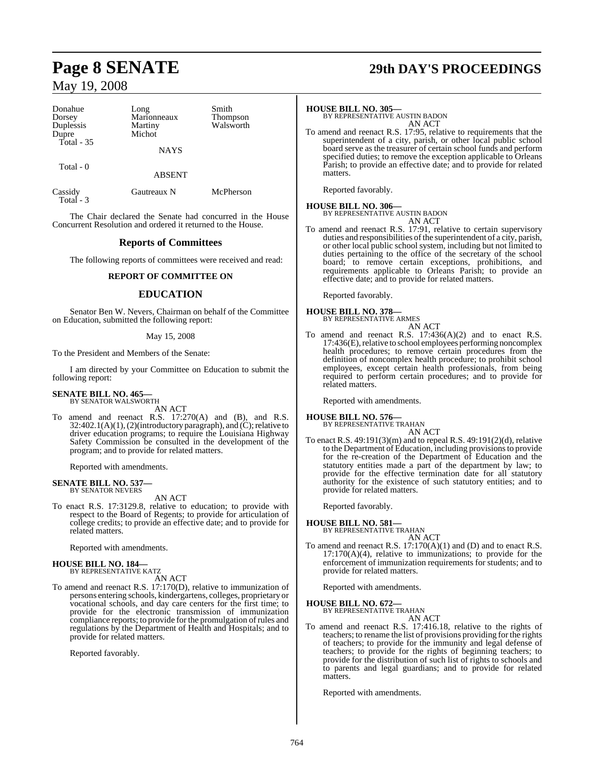| Donahue<br>Dorsey<br>Duplessis<br>Dupre<br>Total - 35 | Long<br>Marionneaux<br>Martiny<br>Michot | Smith<br><b>Thompson</b><br>Walsworth |
|-------------------------------------------------------|------------------------------------------|---------------------------------------|
|                                                       | <b>NAYS</b>                              |                                       |
| Total - 0                                             | <b>ABSENT</b>                            |                                       |
| Cassidy                                               | Gautreaux N                              | McPherson                             |

 Total - 3 The Chair declared the Senate had concurred in the House Concurrent Resolution and ordered it returned to the House.

## **Reports of Committees**

The following reports of committees were received and read:

#### **REPORT OF COMMITTEE ON**

#### **EDUCATION**

Senator Ben W. Nevers, Chairman on behalf of the Committee on Education, submitted the following report:

#### May 15, 2008

To the President and Members of the Senate:

I am directed by your Committee on Education to submit the following report:

# **SENATE BILL NO. 465—** BY SENATOR WALSWORTH

AN ACT

To amend and reenact R.S. 17:270(A) and (B), and R.S.  $32:402.1(A)(1)$ ,  $(2)$ (introductory paragraph), and  $(C)$ ; relative to driver education programs; to require the Louisiana Highway Safety Commission be consulted in the development of the program; and to provide for related matters.

Reported with amendments.

#### **SENATE BILL NO. 537** BY SENATOR NEVERS

AN ACT

To enact R.S. 17:3129.8, relative to education; to provide with respect to the Board of Regents; to provide for articulation of college credits; to provide an effective date; and to provide for related matters.

Reported with amendments.

# **HOUSE BILL NO. 184—** BY REPRESENTATIVE KATZ

AN ACT

To amend and reenact R.S. 17:170(D), relative to immunization of persons entering schools, kindergartens, colleges, proprietary or vocational schools, and day care centers for the first time; to provide for the electronic transmission of immunization compliance reports; to provide for the promulgation ofrules and regulations by the Department of Health and Hospitals; and to provide for related matters.

Reported favorably.

# **Page 8 SENATE 29th DAY'S PROCEEDINGS**

#### **HOUSE BILL NO. 305—**

BY REPRESENTATIVE AUSTIN BADON AN ACT

To amend and reenact R.S. 17:95, relative to requirements that the superintendent of a city, parish, or other local public school board serve as the treasurer of certain school funds and perform specified duties; to remove the exception applicable to Orleans Parish; to provide an effective date; and to provide for related matters.

Reported favorably.

#### **HOUSE BILL NO. 306—** BY REPRESENTATIVE AUSTIN BADON

AN ACT

To amend and reenact R.S. 17:91, relative to certain supervisory duties and responsibilities of the superintendent of a city, parish, or other local public school system, including but not limited to duties pertaining to the office of the secretary of the school board; to remove certain exceptions, prohibitions, and requirements applicable to Orleans Parish; to provide an effective date; and to provide for related matters.

Reported favorably.

## **HOUSE BILL NO. 378—**



To amend and reenact R.S. 17:436(A)(2) and to enact R.S. 17:436(E), relative to school employees performing noncomplex health procedures; to remove certain procedures from the definition of noncomplex health procedure; to prohibit school employees, except certain health professionals, from being required to perform certain procedures; and to provide for related matters.

Reported with amendments.

#### **HOUSE BILL NO. 576—**

BY REPRESENTATIVE TRAHAN AN ACT

To enact R.S. 49:191(3)(m) and to repeal R.S. 49:191(2)(d), relative to the Department of Education, including provisionsto provide for the re-creation of the Department of Education and the statutory entities made a part of the department by law; to provide for the effective termination date for all statutory authority for the existence of such statutory entities; and to provide for related matters.

Reported favorably.

**HOUSE BILL NO. 581—** BY REPRESENTATIVE TRAHAN AN ACT

To amend and reenact R.S. 17:170(A)(1) and (D) and to enact R.S. 17:170(A)(4), relative to immunizations; to provide for the enforcement of immunization requirements for students; and to provide for related matters.

Reported with amendments.

# **HOUSE BILL NO. 672—** BY REPRESENTATIVE TRAHAN

AN ACT

To amend and reenact R.S. 17:416.18, relative to the rights of teachers; to rename the list of provisions providing for the rights of teachers; to provide for the immunity and legal defense of teachers; to provide for the rights of beginning teachers; to provide for the distribution of such list of rights to schools and to parents and legal guardians; and to provide for related matters.

Reported with amendments.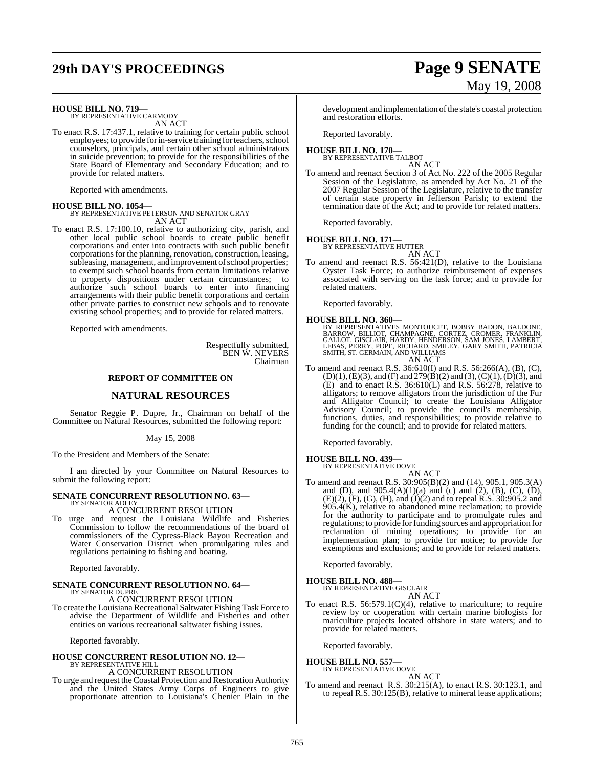# **29th DAY'S PROCEEDINGS Page 9 SENATE**

# May 19, 2008

**HOUSE BILL NO. 719—** BY REPRESENTATIVE CARMODY

AN ACT To enact R.S. 17:437.1, relative to training for certain public school employees; to provide for in-service training for teachers, school counselors, principals, and certain other school administrators in suicide prevention; to provide for the responsibilities of the State Board of Elementary and Secondary Education; and to provide for related matters.

Reported with amendments.

#### **HOUSE BILL NO. 1054—**

BY REPRESENTATIVE PETERSON AND SENATOR GRAY AN ACT

To enact R.S. 17:100.10, relative to authorizing city, parish, and other local public school boards to create public benefit corporations and enter into contracts with such public benefit corporations for the planning, renovation, construction, leasing, subleasing, management, and improvement of school properties; to exempt such school boards from certain limitations relative to property dispositions under certain circumstances; to authorize such school boards to enter into financing arrangements with their public benefit corporations and certain other private parties to construct new schools and to renovate existing school properties; and to provide for related matters.

Reported with amendments.

Respectfully submitted, BEN W. NEVERS Chairman

#### **REPORT OF COMMITTEE ON**

### **NATURAL RESOURCES**

Senator Reggie P. Dupre, Jr., Chairman on behalf of the Committee on Natural Resources, submitted the following report:

May 15, 2008

To the President and Members of the Senate:

I am directed by your Committee on Natural Resources to submit the following report:

#### **SENATE CONCURRENT RESOLUTION NO. 63—** BY SENATOR ADLEY

A CONCURRENT RESOLUTION

To urge and request the Louisiana Wildlife and Fisheries Commission to follow the recommendations of the board of commissioners of the Cypress-Black Bayou Recreation and Water Conservation District when promulgating rules and regulations pertaining to fishing and boating.

Reported favorably.

# **SENATE CONCURRENT RESOLUTION NO. 64—** BY SENATOR DUPRE

A CONCURRENT RESOLUTION

To create the Louisiana Recreational Saltwater Fishing Task Force to advise the Department of Wildlife and Fisheries and other entities on various recreational saltwater fishing issues.

Reported favorably.

#### **HOUSE CONCURRENT RESOLUTION NO. 12—** BY REPRESENTATIVE HILL

A CONCURRENT RESOLUTION

To urge and request the Coastal Protection and Restoration Authority and the United States Army Corps of Engineers to give proportionate attention to Louisiana's Chenier Plain in the

development and implementation of the state's coastal protection and restoration efforts.

Reported favorably.

#### **HOUSE BILL NO. 170—** BY REPRESENTATIVE TALBOT

AN ACT

To amend and reenact Section 3 of Act No. 222 of the 2005 Regular Session of the Legislature, as amended by Act No. 21 of the 2007 Regular Session of the Legislature, relative to the transfer of certain state property in Jefferson Parish; to extend the termination date of the Act; and to provide for related matters.

Reported favorably.

**HOUSE BILL NO. 171—** BY REPRESENTATIVE HUTTER

AN ACT

To amend and reenact R.S. 56:421(D), relative to the Louisiana Oyster Task Force; to authorize reimbursement of expenses associated with serving on the task force; and to provide for related matters.

Reported favorably.

**HOUSE BILL NO. 360—**<br>BY REPRESENTATIVES MONTOUCET, BOBBY BADON, BALDONE,<br>BARROW, BILLIOT, CHAMPAGNE, CORTEZ, CROMER, FRANKLIN,<br>GALLOT, GISCLAIR, HARDY, HENDERSON, SAM JONES, LAMBERT,<br>LEBAS, PERRY, POPE, RICHARD, SMITH, PA AN ACT

To amend and reenact R.S. 36:610(I) and R.S. 56:266(A), (B), (C),  $(D)(1), (E)(3),$  and  $(F)$  and  $279(B)(2)$  and  $(3), (C)(1), (D)(3),$  and  $(E)$  and to enact R.S. 36:610 $(L)$  and R.S. 56:278, relative to alligators; to remove alligators from the jurisdiction of the Fur and Alligator Council; to create the Louisiana Alligator Advisory Council; to provide the council's membership, functions, duties, and responsibilities; to provide relative to funding for the council; and to provide for related matters.

Reported favorably.

# **HOUSE BILL NO. 439—** BY REPRESENTATIVE DOVE

AN ACT

To amend and reenact R.S. 30:905(B)(2) and (14), 905.1, 905.3(A) and (D), and  $905.4(A)(1)(a)$  and (c) and (2), (B), (C), (D), (E)(2), (F), (G), (H), and (J)(2) and to repeal R.S. 30:905.2 and  $905.4(K)$ , relative to abandoned mine reclamation; to provide for the authority to participate and to promulgate rules and regulations; to provide for funding sources and appropriation for reclamation of mining operations; to provide for an implementation plan; to provide for notice; to provide for exemptions and exclusions; and to provide for related matters.

Reported favorably.

#### **HOUSE BILL NO. 488—**

BY REPRESENTATIVE GISCLAIR AN ACT

To enact R.S.  $56:579.1(C)(4)$ , relative to mariculture; to require review by or cooperation with certain marine biologists for mariculture projects located offshore in state waters; and to provide for related matters.

Reported favorably.

# **HOUSE BILL NO. 557—** BY REPRESENTATIVE DOVE

AN ACT

To amend and reenact R.S. 30:215(A), to enact R.S. 30:123.1, and to repeal R.S. 30:125(B), relative to mineral lease applications;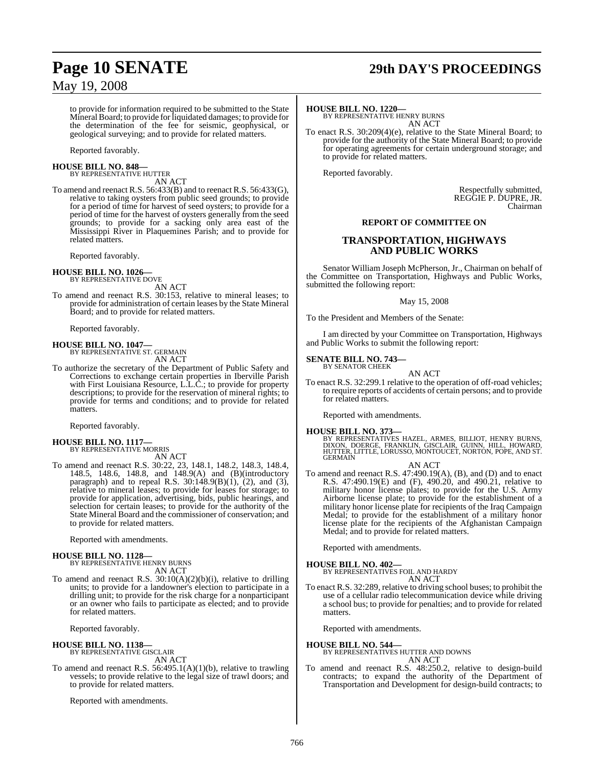# **Page 10 SENATE 29th DAY'S PROCEEDINGS**

to provide for information required to be submitted to the State Mineral Board; to provide for liquidated damages; to provide for the determination of the fee for seismic, geophysical, or geological surveying; and to provide for related matters.

Reported favorably.

#### **HOUSE BILL NO. 848—** BY REPRESENTATIVE HUTTER

AN ACT

To amend and reenact R.S. 56:433(B) and to reenact R.S. 56:433(G), relative to taking oysters from public seed grounds; to provide for a period of time for harvest of seed oysters; to provide for a period of time for the harvest of oysters generally from the seed grounds; to provide for a sacking only area east of the Mississippi River in Plaquemines Parish; and to provide for related matters.

Reported favorably.

# **HOUSE BILL NO. 1026—** BY REPRESENTATIVE DOVE

AN ACT

To amend and reenact R.S. 30:153, relative to mineral leases; to provide for administration of certain leases by the State Mineral Board; and to provide for related matters.

Reported favorably.

# **HOUSE BILL NO. 1047—** BY REPRESENTATIVE ST. GERMAIN

AN ACT

To authorize the secretary of the Department of Public Safety and Corrections to exchange certain properties in Iberville Parish with First Louisiana Resource, L.L.C.; to provide for property descriptions; to provide for the reservation of mineral rights; to provide for terms and conditions; and to provide for related matters.

Reported favorably.

**HOUSE BILL NO. 1117—** BY REPRESENTATIVE MORRIS AN ACT

To amend and reenact R.S. 30:22, 23, 148.1, 148.2, 148.3, 148.4, 148.5, 148.6, 148.8, and 148.9(A) and (B)(introductory paragraph) and to repeal R.S.  $30:148.9(B)(1)$ , (2), and (3), relative to mineral leases; to provide for leases for storage; to provide for application, advertising, bids, public hearings, and selection for certain leases; to provide for the authority of the State Mineral Board and the commissioner of conservation; and to provide for related matters.

Reported with amendments.

# **HOUSE BILL NO. 1128—** BY REPRESENTATIVE HENRY BURNS

AN ACT

To amend and reenact R.S. 30:10(A)(2)(b)(i), relative to drilling units; to provide for a landowner's election to participate in a drilling unit; to provide for the risk charge for a nonparticipant or an owner who fails to participate as elected; and to provide for related matters.

Reported favorably.

#### **HOUSE BILL NO. 1138—**

BY REPRESENTATIVE GISCLAIR AN ACT

To amend and reenact R.S. 56:495.1(A)(1)(b), relative to trawling vessels; to provide relative to the legal size of trawl doors; and to provide for related matters.

Reported with amendments.

#### **HOUSE BILL NO. 1220—**

BY REPRESENTATIVE HENRY BURNS AN ACT

To enact R.S. 30:209(4)(e), relative to the State Mineral Board; to provide for the authority of the State Mineral Board; to provide for operating agreements for certain underground storage; and to provide for related matters.

Reported favorably.

Respectfully submitted, REGGIE P. DUPRE, JR. Chairman

#### **REPORT OF COMMITTEE ON**

## **TRANSPORTATION, HIGHWAYS AND PUBLIC WORKS**

Senator William Joseph McPherson, Jr., Chairman on behalf of the Committee on Transportation, Highways and Public Works, submitted the following report:

May 15, 2008

To the President and Members of the Senate:

I am directed by your Committee on Transportation, Highways and Public Works to submit the following report:

# **SENATE BILL NO. 743—** BY SENATOR CHEEK

- AN ACT
- To enact R.S. 32:299.1 relative to the operation of off-road vehicles; to require reports of accidents of certain persons; and to provide for related matters.

Reported with amendments.

**HOUSE BILL NO. 373—**<br>BY REPRESENTATIVES HAZEL, ARMES, BILLIOT, HENRY BURNS, DIXON, DOERGE, FRANKLIN, GISCLAIR, GUINN, HILL, HOWARD,<br>HUTTER, LITTLE, LORUSSO, MONTOUCET, NORTON, POPE, AND ST.<br>GERMAIN

AN ACT

To amend and reenact R.S. 47:490.19(A), (B), and (D) and to enact R.S. 47:490.19(E) and (F), 490.20, and 490.21, relative to military honor license plates; to provide for the U.S. Army Airborne license plate; to provide for the establishment of a military honor license plate for recipients of the Iraq Campaign Medal; to provide for the establishment of a military honor license plate for the recipients of the Afghanistan Campaign Medal; and to provide for related matters.

Reported with amendments.

**HOUSE BILL NO. 402—**

BY REPRESENTATIVES FOIL AND HARDY AN ACT

To enact R.S. 32:289, relative to driving school buses; to prohibit the use of a cellular radio telecommunication device while driving a school bus; to provide for penalties; and to provide for related matters.

Reported with amendments.

**HOUSE BILL NO. 544—**

BY REPRESENTATIVES HUTTER AND DOWNS AN ACT

To amend and reenact R.S. 48:250.2, relative to design-build contracts; to expand the authority of the Department of Transportation and Development for design-build contracts; to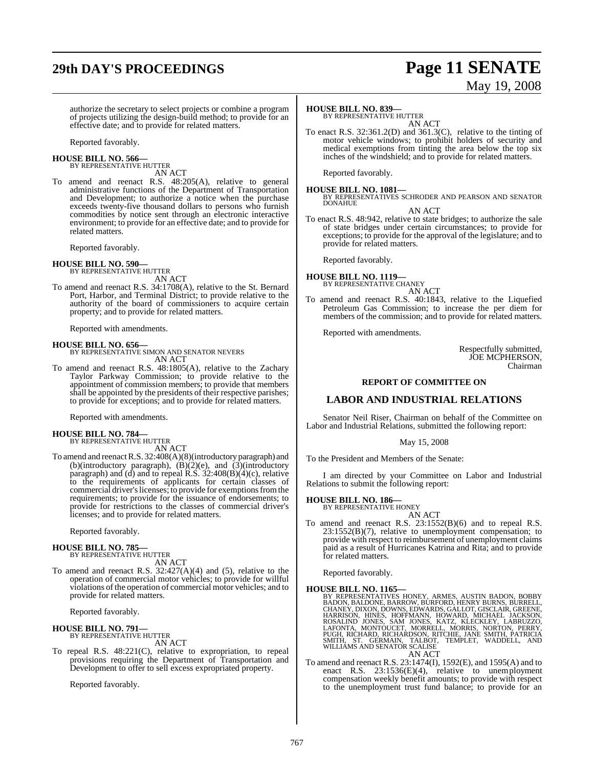# **29th DAY'S PROCEEDINGS Page 11 SENATE**

# May 19, 2008

authorize the secretary to select projects or combine a program of projects utilizing the design-build method; to provide for an effective date; and to provide for related matters.

Reported favorably.

#### **HOUSE BILL NO. 566—** BY REPRESENTATIVE HUTTER

AN ACT

To amend and reenact R.S. 48:205(A), relative to general administrative functions of the Department of Transportation and Development; to authorize a notice when the purchase exceeds twenty-five thousand dollars to persons who furnish commodities by notice sent through an electronic interactive environment; to provide for an effective date; and to provide for related matters.

Reported favorably.

#### **HOUSE BILL NO. 590—**

BY REPRESENTATIVE HUTTER AN ACT

To amend and reenact R.S. 34:1708(A), relative to the St. Bernard Port, Harbor, and Terminal District; to provide relative to the authority of the board of commissioners to acquire certain property; and to provide for related matters.

Reported with amendments.

#### **HOUSE BILL NO. 656—**

BY REPRESENTATIVE SIMON AND SENATOR NEVERS AN ACT

To amend and reenact R.S. 48:1805(A), relative to the Zachary Taylor Parkway Commission; to provide relative to the appointment of commission members; to provide that members shall be appointed by the presidents of their respective parishes; to provide for exceptions; and to provide for related matters.

Reported with amendments.

# **HOUSE BILL NO. 784—** BY REPRESENTATIVE HUTTER

AN ACT

To amend and reenactR.S. 32:408(A)(8)(introductory paragraph) and (b)(introductory paragraph),  $(B)(2)(e)$ , and  $(3)(\text{introducing the value of the function})$ paragraph) and (d) and to repeal R.S. 32:408(B)(4)(c), relative to the requirements of applicants for certain classes of commercial driver'slicenses; to provide for exemptionsfromthe requirements; to provide for the issuance of endorsements; to provide for restrictions to the classes of commercial driver's licenses; and to provide for related matters.

Reported favorably.

#### **HOUSE BILL NO. 785—**

BY REPRESENTATIVE HUTTER AN ACT

To amend and reenact R.S.  $32:427(A)(4)$  and (5), relative to the operation of commercial motor vehicles; to provide for willful violations of the operation of commercial motor vehicles; and to provide for related matters.

Reported favorably.

#### **HOUSE BILL NO. 791—** BY REPRESENTATIVE HUTTER

AN ACT

To repeal R.S. 48:221(C), relative to expropriation, to repeal provisions requiring the Department of Transportation and Development to offer to sell excess expropriated property.

Reported favorably.

## **HOUSE BILL NO. 839—**

BY REPRESENTATIVE HUTTER AN ACT

To enact R.S. 32:361.2(D) and 361.3(C), relative to the tinting of motor vehicle windows; to prohibit holders of security and medical exemptions from tinting the area below the top six inches of the windshield; and to provide for related matters.

Reported favorably.

**HOUSE BILL NO. 1081—** BY REPRESENTATIVES SCHRODER AND PEARSON AND SENATOR DONAHUE

AN ACT

To enact R.S. 48:942, relative to state bridges; to authorize the sale of state bridges under certain circumstances; to provide for exceptions; to provide for the approval of the legislature; and to provide for related matters.

Reported favorably.

#### **HOUSE BILL NO. 1119—** BY REPRESENTATIVE CHANEY

AN ACT

To amend and reenact R.S. 40:1843, relative to the Liquefied Petroleum Gas Commission; to increase the per diem for members of the commission; and to provide for related matters.

Reported with amendments.

Respectfully submitted, JOE MCPHERSON, Chairman

#### **REPORT OF COMMITTEE ON**

### **LABOR AND INDUSTRIAL RELATIONS**

Senator Neil Riser, Chairman on behalf of the Committee on Labor and Industrial Relations, submitted the following report:

May 15, 2008

To the President and Members of the Senate:

I am directed by your Committee on Labor and Industrial Relations to submit the following report:

# **HOUSE BILL NO. 186—** BY REPRESENTATIVE HONEY

AN ACT To amend and reenact R.S. 23:1552(B)(6) and to repeal R.S. 23:1552(B)(7), relative to unemployment compensation; to provide with respect to reimbursement of unemployment claims paid as a result of Hurricanes Katrina and Rita; and to provide for related matters.

Reported favorably.

#### **HOUSE BILL NO. 1165—**

BY REPRESENTATIVES HONEY, ARMES, AUSTIN BADON, BOBBY<br>BADON, BALDONE, BARROW, BURFORD, HENRY BURNS, BURRELL,<br>CHANEY, DIXON, DOWNS, EDWARDS, GALLOT, GISCLAIR, GREENE,<br>HARRISON, HINES, HOFFMANN, HOWARD, MICHAEL JACKSON,<br>ROSAL AN ACT

To amend and reenact R.S. 23:1474(I), 1592(E), and 1595(A) and to enact R.S. 23:1536(E)(4), relative to unemployment compensation weekly benefit amounts; to provide with respect to the unemployment trust fund balance; to provide for an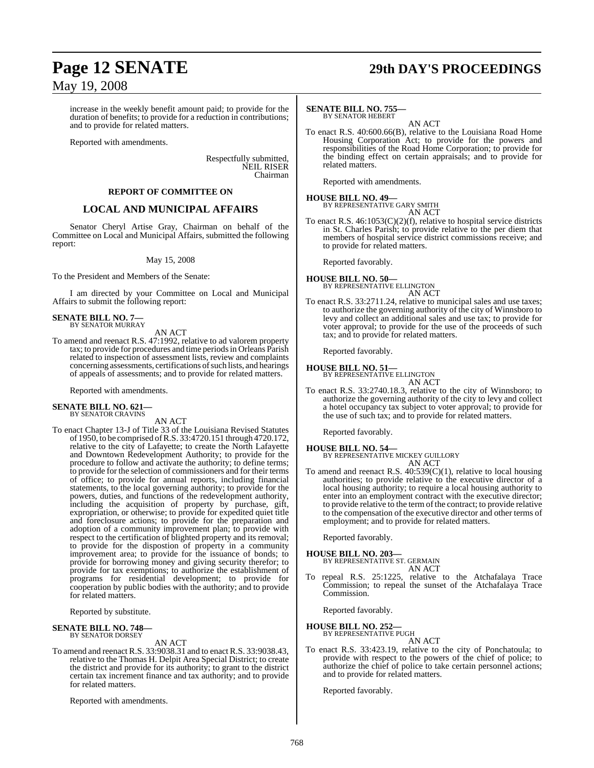increase in the weekly benefit amount paid; to provide for the duration of benefits; to provide for a reduction in contributions; and to provide for related matters.

Reported with amendments.

Respectfully submitted, NEIL RISER Chairman

#### **REPORT OF COMMITTEE ON**

### **LOCAL AND MUNICIPAL AFFAIRS**

Senator Cheryl Artise Gray, Chairman on behalf of the Committee on Local and Municipal Affairs, submitted the following report:

#### May 15, 2008

To the President and Members of the Senate:

I am directed by your Committee on Local and Municipal Affairs to submit the following report:

# **SENATE BILL NO. 7—** BY SENATOR MURRAY

AN ACT

To amend and reenact R.S. 47:1992, relative to ad valorem property tax; to provide for procedures and time periodsin Orleans Parish related to inspection of assessment lists, review and complaints concerning assessments, certifications of such lists, and hearings of appeals of assessments; and to provide for related matters.

Reported with amendments.

#### **SENATE BILL NO. 621—** BY SENATOR CRAVINS

AN ACT

To enact Chapter 13-J of Title 33 of the Louisiana Revised Statutes of 1950, to be comprised ofR.S. 33:4720.151 through 4720.172, relative to the city of Lafayette; to create the North Lafayette and Downtown Redevelopment Authority; to provide for the procedure to follow and activate the authority; to define terms; to provide for the selection of commissioners and for their terms of office; to provide for annual reports, including financial statements, to the local governing authority; to provide for the powers, duties, and functions of the redevelopment authority, including the acquisition of property by purchase, gift, expropriation, or otherwise; to provide for expedited quiet title and foreclosure actions; to provide for the preparation and adoption of a community improvement plan; to provide with respect to the certification of blighted property and its removal; to provide for the dispostion of property in a community improvement area; to provide for the issuance of bonds; to provide for borrowing money and giving security therefor; to provide for tax exemptions; to authorize the establishment of programs for residential development; to provide for cooperation by public bodies with the authority; and to provide for related matters.

Reported by substitute.

# **SENATE BILL NO. 748—** BY SENATOR DORSEY

AN ACT

To amend and reenact R.S. 33:9038.31 and to enact R.S. 33:9038.43, relative to the Thomas H. Delpit Area Special District; to create the district and provide for its authority; to grant to the district certain tax increment finance and tax authority; and to provide for related matters.

Reported with amendments.

# **Page 12 SENATE 29th DAY'S PROCEEDINGS**

#### **SENATE BILL NO. 755—** BY SENATOR HEBERT

AN ACT

To enact R.S. 40:600.66(B), relative to the Louisiana Road Home Housing Corporation Act; to provide for the powers and responsibilities of the Road Home Corporation; to provide for the binding effect on certain appraisals; and to provide for related matters.

Reported with amendments.

**HOUSE BILL NO. 49—** BY REPRESENTATIVE GARY SMITH AN ACT

To enact R.S. 46:1053(C)(2)(f), relative to hospital service districts in St. Charles Parish; to provide relative to the per diem that members of hospital service district commissions receive; and to provide for related matters.

Reported favorably.

#### **HOUSE BILL NO. 50—** BY REPRESENTATIVE ELLINGTON

AN ACT

To enact R.S. 33:2711.24, relative to municipal sales and use taxes; to authorize the governing authority of the city of Winnsboro to levy and collect an additional sales and use tax; to provide for voter approval; to provide for the use of the proceeds of such tax; and to provide for related matters.

Reported favorably.

**HOUSE BILL NO. 51—** BY REPRESENTATIVE ELLINGTON

AN ACT

To enact R.S. 33:2740.18.3, relative to the city of Winnsboro; to authorize the governing authority of the city to levy and collect a hotel occupancy tax subject to voter approval; to provide for the use of such tax; and to provide for related matters.

Reported favorably.

#### **HOUSE BILL NO. 54—**

BY REPRESENTATIVE MICKEY GUILLORY AN ACT

To amend and reenact R.S. 40:539(C)(1), relative to local housing authorities; to provide relative to the executive director of a local housing authority; to require a local housing authority to enter into an employment contract with the executive director; to provide relative to the term of the contract; to provide relative to the compensation of the executive director and other terms of employment; and to provide for related matters.

Reported favorably.

**HOUSE BILL NO. 203—** BY REPRESENTATIVE ST. GERMAIN AN ACT

To repeal R.S. 25:1225, relative to the Atchafalaya Trace Commission; to repeal the sunset of the Atchafalaya Trace Commission.

Reported favorably.

#### **HOUSE BILL NO. 252—** BY REPRESENTATIVE PUGH

AN ACT

To enact R.S. 33:423.19, relative to the city of Ponchatoula; to provide with respect to the powers of the chief of police; to authorize the chief of police to take certain personnel actions; and to provide for related matters.

Reported favorably.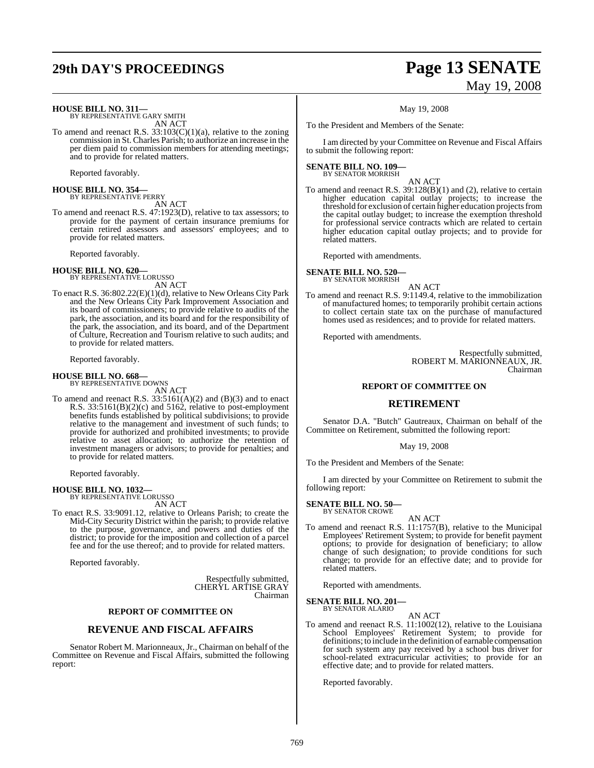# **29th DAY'S PROCEEDINGS Page 13 SENATE**

# May 19, 2008

**HOUSE BILL NO. 311—** BY REPRESENTATIVE GARY SMITH

AN ACT

To amend and reenact R.S.  $33:103(C)(1)(a)$ , relative to the zoning commission in St. Charles Parish; to authorize an increase in the per diem paid to commission members for attending meetings; and to provide for related matters.

Reported favorably.

**HOUSE BILL NO. 354—** BY REPRESENTATIVE PERRY

AN ACT To amend and reenact R.S. 47:1923(D), relative to tax assessors; to provide for the payment of certain insurance premiums for certain retired assessors and assessors' employees; and to

Reported favorably.

**HOUSE BILL NO. 620—** BY REPRESENTATIVE LORUSSO

provide for related matters.

AN ACT

To enact R.S. 36:802.22(E)(1)(d), relative to New Orleans City Park and the New Orleans City Park Improvement Association and its board of commissioners; to provide relative to audits of the park, the association, and its board and for the responsibility of the park, the association, and its board, and of the Department of Culture, Recreation and Tourism relative to such audits; and to provide for related matters.

Reported favorably.

#### **HOUSE BILL NO. 668—** BY REPRESENTATIVE DOWNS

AN ACT

To amend and reenact R.S.  $33:5161(A)(2)$  and  $(B)(3)$  and to enact R.S. 33:5161(B)(2)(c) and 5162, relative to post-employment benefits funds established by political subdivisions; to provide relative to the management and investment of such funds; to provide for authorized and prohibited investments; to provide relative to asset allocation; to authorize the retention of investment managers or advisors; to provide for penalties; and to provide for related matters.

Reported favorably.

#### **HOUSE BILL NO. 1032—** BY REPRESENTATIVE LORUSSO

AN ACT

To enact R.S. 33:9091.12, relative to Orleans Parish; to create the Mid-City Security District within the parish; to provide relative to the purpose, governance, and powers and duties of the district; to provide for the imposition and collection of a parcel fee and for the use thereof; and to provide for related matters.

Reported favorably.

Respectfully submitted, CHERYL ARTISE GRAY Chairman

### **REPORT OF COMMITTEE ON**

#### **REVENUE AND FISCAL AFFAIRS**

Senator Robert M. Marionneaux, Jr., Chairman on behalf of the Committee on Revenue and Fiscal Affairs, submitted the following report:

May 19, 2008

To the President and Members of the Senate:

I am directed by your Committee on Revenue and Fiscal Affairs to submit the following report:

#### **SENATE BILL NO. 109—** BY SENATOR MORRISH

AN ACT

To amend and reenact R.S. 39:128(B)(1) and (2), relative to certain higher education capital outlay projects; to increase the threshold for exclusion of certain higher education projects from the capital outlay budget; to increase the exemption threshold for professional service contracts which are related to certain higher education capital outlay projects; and to provide for related matters.

Reported with amendments.

**SENATE BILL NO. 520—** BY SENATOR MORRISH

AN ACT

To amend and reenact R.S. 9:1149.4, relative to the immobilization of manufactured homes; to temporarily prohibit certain actions to collect certain state tax on the purchase of manufactured homes used as residences; and to provide for related matters.

Reported with amendments.

Respectfully submitted, ROBERT M. MARIONNEAUX, JR. Chairman

#### **REPORT OF COMMITTEE ON**

### **RETIREMENT**

Senator D.A. "Butch" Gautreaux, Chairman on behalf of the Committee on Retirement, submitted the following report:

#### May 19, 2008

To the President and Members of the Senate:

I am directed by your Committee on Retirement to submit the following report:

**SENATE BILL NO. 50—** BY SENATOR CROWE

- AN ACT
- To amend and reenact R.S. 11:1757(B), relative to the Municipal Employees' Retirement System; to provide for benefit payment options; to provide for designation of beneficiary; to allow change of such designation; to provide conditions for such change; to provide for an effective date; and to provide for related matters.

Reported with amendments.

**SENATE BILL NO. 201—** BY SENATOR ALARIO

AN ACT

To amend and reenact R.S. 11:1002(12), relative to the Louisiana School Employees' Retirement System; to provide for definitions; to include in the definition of earnable compensation for such system any pay received by a school bus driver for school-related extracurricular activities; to provide for an effective date; and to provide for related matters.

Reported favorably.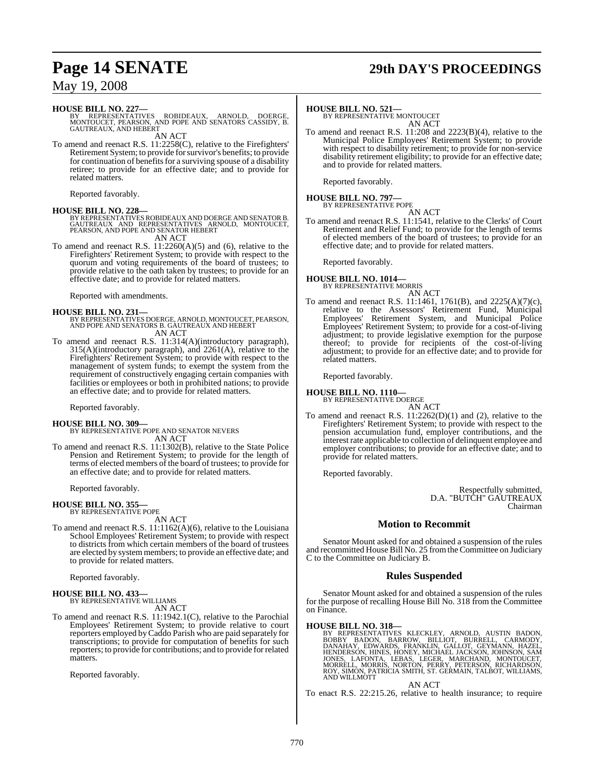# **Page 14 SENATE 29th DAY'S PROCEEDINGS**

## May 19, 2008

**HOUSE BILL NO. 227—**<br>BY REPRESENTATIVES ROBIDEAUX, ARNOLD, DOERGE,<br>MONTOUCET, PEARSON, AND POPE AND SENATORS CASSIDY, B.<br>GAUTREAUX, AND HEBERT

AN ACT To amend and reenact R.S. 11:2258(C), relative to the Firefighters' Retirement System; to provide forsurvivor's benefits; to provide for continuation of benefits for a surviving spouse of a disability retiree; to provide for an effective date; and to provide for related matters.

Reported favorably.

**HOUSE BILL NO. 228—**<br>BY REPRESENTATIVES ROBIDEAUX AND DOERGE AND SENATOR B.<br>GAUTREAUX AND REPRESENTATIVES ARNOLD, MONTOUCET,<br>PEARSON, AND POPE AND SENATOR HEBERT

AN ACT

To amend and reenact R.S. 11:2260(A)(5) and (6), relative to the Firefighters' Retirement System; to provide with respect to the quorum and voting requirements of the board of trustees; to provide relative to the oath taken by trustees; to provide for an effective date; and to provide for related matters.

Reported with amendments.

**HOUSE BILL NO. 231—** BY REPRESENTATIVES DOERGE, ARNOLD, MONTOUCET, PEARSON, AND POPE AND SENATORS B. GAUTREAUX AND HEBERT AN ACT

To amend and reenact R.S. 11:314(A)(introductory paragraph), 315(A)(introductory paragraph), and 2261(A), relative to the Firefighters' Retirement System; to provide with respect to the management of system funds; to exempt the system from the requirement of constructively engaging certain companies with facilities or employees or both in prohibited nations; to provide an effective date; and to provide for related matters.

Reported favorably.

**HOUSE BILL NO. 309—** BY REPRESENTATIVE POPE AND SENATOR NEVERS AN ACT

To amend and reenact R.S. 11:1302(B), relative to the State Police Pension and Retirement System; to provide for the length of terms of elected members of the board of trustees; to provide for an effective date; and to provide for related matters.

Reported favorably.

#### **HOUSE BILL NO. 355—**

BY REPRESENTATIVE POPE AN ACT

To amend and reenact R.S. 11:1162(A)(6), relative to the Louisiana School Employees' Retirement System; to provide with respect to districts from which certain members of the board of trustees are elected by systemmembers; to provide an effective date; and to provide for related matters.

Reported favorably.

#### **HOUSE BILL NO. 433—**

BY REPRESENTATIVE WILLIAMS AN ACT

To amend and reenact R.S. 11:1942.1(C), relative to the Parochial Employees' Retirement System; to provide relative to court reporters employed byCaddo Parish who are paid separately for transcriptions; to provide for computation of benefits for such reporters; to provide for contributions; and to provide forrelated matters.

Reported favorably.

**HOUSE BILL NO. 521—** BY REPRESENTATIVE MONTOUCET AN ACT

To amend and reenact R.S. 11:208 and 2223(B)(4), relative to the Municipal Police Employees' Retirement System; to provide with respect to disability retirement; to provide for non-service disability retirement eligibility; to provide for an effective date; and to provide for related matters.

Reported favorably.

# **HOUSE BILL NO. 797—** BY REPRESENTATIVE POPE

AN ACT To amend and reenact R.S. 11:1541, relative to the Clerks' of Court Retirement and Relief Fund; to provide for the length of terms of elected members of the board of trustees; to provide for an effective date; and to provide for related matters.

Reported favorably.

#### **HOUSE BILL NO. 1014—** BY REPRESENTATIVE MORRIS

AN ACT

To amend and reenact R.S. 11:1461, 1761(B), and 2225(A)(7)(c), relative to the Assessors' Retirement Fund, Municipal Employees' Retirement System, and Municipal Police Employees' Retirement System; to provide for a cost-of-living adjustment; to provide legislative exemption for the purpose thereof; to provide for recipients of the cost-of-living adjustment; to provide for an effective date; and to provide for related matters.

Reported favorably.

**HOUSE BILL NO. 1110—** BY REPRESENTATIVE DOERGE

AN ACT

To amend and reenact R.S. 11:2262(D)(1) and (2), relative to the Firefighters' Retirement System; to provide with respect to the pension accumulation fund, employer contributions, and the interest rate applicable to collection of delinquent employee and employer contributions; to provide for an effective date; and to provide for related matters.

Reported favorably.

Respectfully submitted, D.A. "BUTCH" GAUTREAUX Chairman

### **Motion to Recommit**

Senator Mount asked for and obtained a suspension of the rules and recommitted House Bill No. 25 fromthe Committee on Judiciary C to the Committee on Judiciary B.

#### **Rules Suspended**

Senator Mount asked for and obtained a suspension of the rules for the purpose of recalling House Bill No. 318 from the Committee on Finance.

#### **HOUSE BILL NO. 318—**

BY REPRESENTATIVES KLECKLEY, ARNOLD, AUSTIN BADON,<br>BOBBY BADON, BARROW, BILLIOT, BURRELL, CARMODY,<br>DANAHAY, EDWARDS, FRANKLIN, GALIOT, GEYMANN, HAZEL,<br>HENDERSON, HINES, HONEY, MICHAEL JACKSON, JOHNSON, SAM<br>JONES, LAFONTA,

AN ACT

To enact R.S. 22:215.26, relative to health insurance; to require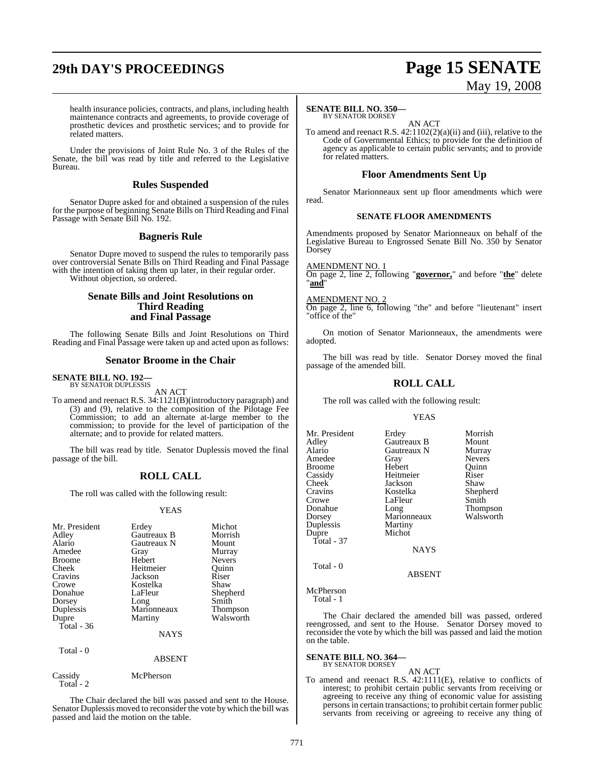# **29th DAY'S PROCEEDINGS Page 15 SENATE**

# May 19, 2008

health insurance policies, contracts, and plans, including health maintenance contracts and agreements, to provide coverage of prosthetic devices and prosthetic services; and to provide for related matters.

Under the provisions of Joint Rule No. 3 of the Rules of the Senate, the bill was read by title and referred to the Legislative Bureau.

#### **Rules Suspended**

Senator Dupre asked for and obtained a suspension of the rules for the purpose of beginning Senate Bills on Third Reading and Final Passage with Senate Bill No. 192.

#### **Bagneris Rule**

Senator Dupre moved to suspend the rules to temporarily pass over controversial Senate Bills on Third Reading and Final Passage with the intention of taking them up later, in their regular order. Without objection, so ordered.

> **Senate Bills and Joint Resolutions on Third Reading and Final Passage**

The following Senate Bills and Joint Resolutions on Third Reading and Final Passage were taken up and acted upon as follows:

#### **Senator Broome in the Chair**

#### **SENATE BILL NO. 192—** BY SENATOR DUPLESSIS

AN ACT

To amend and reenact R.S. 34:1121(B)(introductory paragraph) and (3) and (9), relative to the composition of the Pilotage Fee Commission; to add an alternate at-large member to the commission; to provide for the level of participation of the alternate; and to provide for related matters.

The bill was read by title. Senator Duplessis moved the final passage of the bill.

## **ROLL CALL**

The roll was called with the following result:

#### YEAS

| Mr. President | Erdey       | Michot        |
|---------------|-------------|---------------|
| Adley         | Gautreaux B | Morrish       |
| Alario        | Gautreaux N | Mount         |
| Amedee        | Gray        | Murray        |
| <b>Broome</b> | Hebert      | <b>Nevers</b> |
| Cheek         | Heitmeier   | Ouinn         |
| Cravins       | Jackson     | Riser         |
| Crowe         | Kostelka    | Shaw          |
| Donahue       | LaFleur     | Shepherd      |
| Dorsey        | Long        | Smith         |
| Duplessis     | Marionneaux | Thompson      |
| Dupre         | Martiny     | Walsworth     |
| Total - 36    |             |               |
|               | <b>NAYS</b> |               |
| $Total\_0$    |             |               |

| .                     | <b>ABSENT</b> |  |
|-----------------------|---------------|--|
| Cassidy<br>Total $-2$ | McPherson     |  |

The Chair declared the bill was passed and sent to the House. Senator Duplessis moved to reconsider the vote by which the bill was passed and laid the motion on the table.

#### **SENATE BILL NO. 350—**

BY SENATOR DORSEY AN ACT

To amend and reenact R.S. 42:1102(2)(a)(ii) and (iii), relative to the Code of Governmental Ethics; to provide for the definition of agency as applicable to certain public servants; and to provide for related matters.

## **Floor Amendments Sent Up**

Senator Marionneaux sent up floor amendments which were read.

#### **SENATE FLOOR AMENDMENTS**

Amendments proposed by Senator Marionneaux on behalf of the Legislative Bureau to Engrossed Senate Bill No. 350 by Senator Dorsey

**AMENDMENT NO.** 

On page 2, line 2, following "**governor,**" and before "**the**" delete "**and**"

#### AMENDMENT NO. 2

On page 2, line 6, following "the" and before "lieutenant" insert "office of the"

On motion of Senator Marionneaux, the amendments were adopted.

The bill was read by title. Senator Dorsey moved the final passage of the amended bill.

## **ROLL CALL**

The roll was called with the following result:

#### YEAS

| Mr. President<br>Adley<br>Alario<br>Amedee<br><b>Broome</b><br>Cassidy<br>Cheek<br>Cravins<br>Crowe<br>Donahue<br>Dorsey<br>Duplessis<br>Dupre<br>$Total - 37$ | Erdey<br>Gautreaux B<br>Gautreaux N<br>Gray<br>Hebert<br>Heitmeier<br>Jackson<br>Kostelka<br>LaFleur<br>Long<br>Marionneaux<br>Martiny<br>Michot<br><b>NAYS</b> | Morrish<br>Mount<br>Murray<br><b>Nevers</b><br>Ouinn<br>Riser<br>Shaw<br>Shepherd<br>Smith<br>Thompson<br>Walsworth |
|----------------------------------------------------------------------------------------------------------------------------------------------------------------|-----------------------------------------------------------------------------------------------------------------------------------------------------------------|---------------------------------------------------------------------------------------------------------------------|
| Total - 0                                                                                                                                                      | <b>ABSENT</b>                                                                                                                                                   |                                                                                                                     |
| McPherson<br>Total - 1                                                                                                                                         |                                                                                                                                                                 |                                                                                                                     |

The Chair declared the amended bill was passed, ordered reengrossed, and sent to the House. Senator Dorsey moved to reconsider the vote by which the bill was passed and laid the motion on the table.

#### **SENATE BILL NO. 364** BY SENATOR DORSEY

#### AN ACT

To amend and reenact R.S. 42:1111(E), relative to conflicts of interest; to prohibit certain public servants from receiving or agreeing to receive any thing of economic value for assisting personsin certain transactions; to prohibit certain former public servants from receiving or agreeing to receive any thing of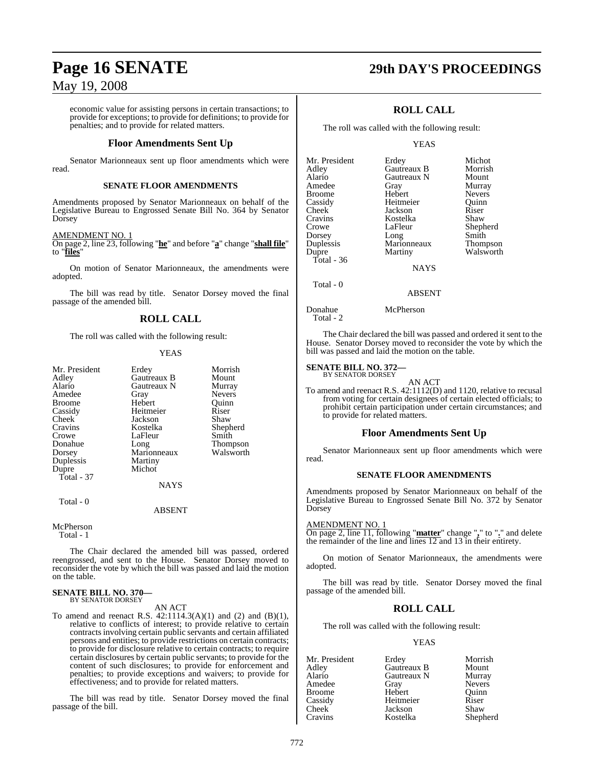economic value for assisting persons in certain transactions; to provide for exceptions; to provide for definitions; to provide for penalties; and to provide for related matters.

#### **Floor Amendments Sent Up**

Senator Marionneaux sent up floor amendments which were read.

#### **SENATE FLOOR AMENDMENTS**

Amendments proposed by Senator Marionneaux on behalf of the Legislative Bureau to Engrossed Senate Bill No. 364 by Senator Dorsey

#### AMENDMENT NO. 1

On page 2, line 23, following "**he**" and before "**a**" change "**shall file**" to "**files**"

On motion of Senator Marionneaux, the amendments were adopted.

The bill was read by title. Senator Dorsey moved the final passage of the amended bill.

## **ROLL CALL**

The roll was called with the following result:

#### YEAS

| Mr. President | Erdey       | Morrish         |
|---------------|-------------|-----------------|
| Adley         | Gautreaux B | Mount           |
| Alario        | Gautreaux N | Murray          |
| Amedee        | Gray        | <b>Nevers</b>   |
| <b>Broome</b> | Hebert      | Ouinn           |
| Cassidy       | Heitmeier   | Riser           |
| Cheek         | Jackson     | Shaw            |
| Cravins       | Kostelka    | Shepherd        |
| Crowe         | LaFleur     | Smith           |
| Donahue       | Long        | <b>Thompson</b> |
| Dorsey        | Marionneaux | Walsworth       |
| Duplessis     | Martiny     |                 |
| Dupre         | Michot      |                 |
| Total - 37    |             |                 |
|               | <b>NAYS</b> |                 |
| Total - 0     |             |                 |

#### ABSENT

McPherson Total - 1

The Chair declared the amended bill was passed, ordered reengrossed, and sent to the House. Senator Dorsey moved to reconsider the vote by which the bill was passed and laid the motion on the table.

## **SENATE BILL NO. 370—**

BY SENATOR DORSEY AN ACT

To amend and reenact R.S.  $42:1114.3(A)(1)$  and  $(2)$  and  $(B)(1)$ , relative to conflicts of interest; to provide relative to certain contracts involving certain public servants and certain affiliated persons and entities; to provide restrictions on certain contracts; to provide for disclosure relative to certain contracts; to require certain disclosures by certain public servants; to provide for the content of such disclosures; to provide for enforcement and penalties; to provide exceptions and waivers; to provide for effectiveness; and to provide for related matters.

The bill was read by title. Senator Dorsey moved the final passage of the bill.

# **Page 16 SENATE 29th DAY'S PROCEEDINGS**

## **ROLL CALL**

The roll was called with the following result:

#### YEAS

| Mr. President | Erdey       | Michot        |
|---------------|-------------|---------------|
| Adley         | Gautreaux B | Morrish       |
| Alario        | Gautreaux N | Mount         |
| Amedee        | Gray        | Murray        |
| <b>Broome</b> | Hebert      | <b>Nevers</b> |
| Cassidy       | Heitmeier   | Ouinn         |
| Cheek         | Jackson     | Riser         |
| Cravins       | Kostelka    | Shaw          |
| Crowe         | LaFleur     | Shepherd      |
| Dorsey        | Long        | Smith         |
| Duplessis     | Marionneaux | Thompson      |
| Dupre         | Martiny     | Walsworth     |
| Total - 36    |             |               |
|               | <b>NAYS</b> |               |
|               |             |               |

ABSENT

Donahue McPherson

Total - 2

Total - 0

The Chair declared the bill was passed and ordered it sent to the House. Senator Dorsey moved to reconsider the vote by which the bill was passed and laid the motion on the table.

#### **SENATE BILL NO. 372—** BY SENATOR DORSEY

AN ACT

To amend and reenact R.S. 42:1112(D) and 1120, relative to recusal from voting for certain designees of certain elected officials; to prohibit certain participation under certain circumstances; and to provide for related matters.

#### **Floor Amendments Sent Up**

Senator Marionneaux sent up floor amendments which were read.

#### **SENATE FLOOR AMENDMENTS**

Amendments proposed by Senator Marionneaux on behalf of the Legislative Bureau to Engrossed Senate Bill No. 372 by Senator Dorsey

#### AMENDMENT NO. 1

On page 2, line 11, following "**matter**" change "**,**" to "**.**" and delete the remainder of the line and lines 12 and 13 in their entirety.

On motion of Senator Marionneaux, the amendments were adopted.

The bill was read by title. Senator Dorsey moved the final passage of the amended bill.

## **ROLL CALL**

The roll was called with the following result:

#### YEAS

Mr. President Erdey Morrish<br>Adley Gautreaux B Mount Adley Gautreaux B Mount Gautreaux N Amedee Gray Nevers Broome Hebert Quinr<br>
Cassidy Heitmeier Riser Cassidy Heitmeier Riser<br>Cheek Jackson Shaw Cheek Jackson<br>Cravins Kostelka Shepherd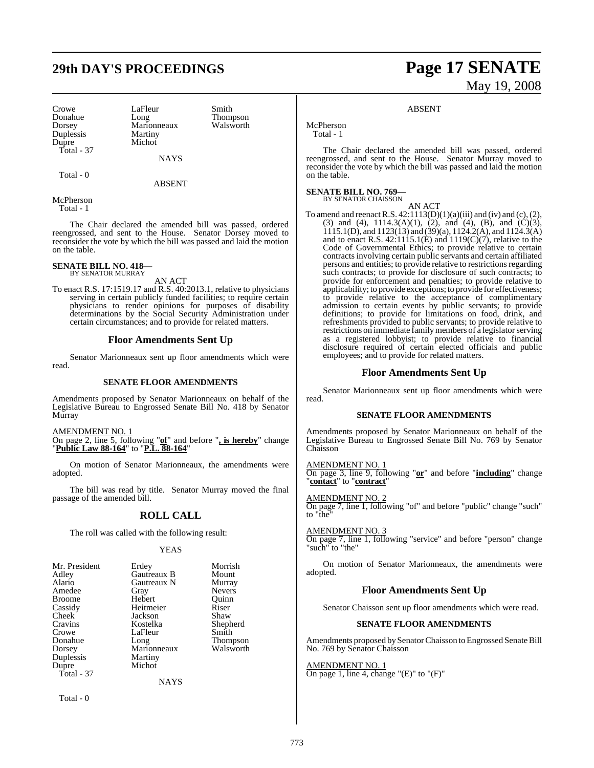# **29th DAY'S PROCEEDINGS Page 17 SENATE**

Crowe LaFleur Smith<br>
Donahue Long Thom Duplessis Martiny Dupre Total - 37

Donahue Long Thompson Marionneaux<br>Martiny

McPherson Total - 1

Total - 0

The Chair declared the amended bill was passed, ordered reengrossed, and sent to the House. Senator Dorsey moved to reconsider the vote by which the bill was passed and laid the motion on the table.

**NAYS** 

ABSENT

#### **SENATE BILL NO. 418—** BY SENATOR MURRAY

AN ACT

To enact R.S. 17:1519.17 and R.S. 40:2013.1, relative to physicians serving in certain publicly funded facilities; to require certain physicians to render opinions for purposes of disability determinations by the Social Security Administration under certain circumstances; and to provide for related matters.

#### **Floor Amendments Sent Up**

Senator Marionneaux sent up floor amendments which were read.

#### **SENATE FLOOR AMENDMENTS**

Amendments proposed by Senator Marionneaux on behalf of the Legislative Bureau to Engrossed Senate Bill No. 418 by Senator Murray

AMENDMENT NO. 1

On page 2, line 5, following "**of**" and before "**, is hereby**" change "**Public Law 88-164**" to "**P.L. 88-164**"

On motion of Senator Marionneaux, the amendments were adopted.

The bill was read by title. Senator Murray moved the final passage of the amended bill.

### **ROLL CALL**

The roll was called with the following result:

#### YEAS

| Mr. President | Erdey       | Morrish       |
|---------------|-------------|---------------|
| Adley         | Gautreaux B | Mount         |
| Alario        | Gautreaux N | Murray        |
| Amedee        | Gray        | <b>Nevers</b> |
| <b>Broome</b> | Hebert      | Ouinn         |
| Cassidy       | Heitmeier   | Riser         |
| Cheek         | Jackson     | Shaw          |
| Cravins       | Kostelka    | Shepherd      |
| Crowe         | LaFleur     | Smith         |
| Donahue       | Long        | Thompson      |
| Dorsey        | Marionneaux | Walsworth     |
| Duplessis     | Martiny     |               |
| Dupre         | Michot      |               |
| Total - 37    |             |               |
|               | NAYS        |               |

Total - 0

# May 19, 2008

#### ABSENT

McPherson Total - 1

The Chair declared the amended bill was passed, ordered reengrossed, and sent to the House. Senator Murray moved to reconsider the vote by which the bill was passed and laid the motion on the table.

#### **SENATE BILL NO. 769—**

BY SENATOR CHAISSON

AN ACT To amend and reenact R.S.  $42:1113(D)(1)(a)(iii)$  and (iv) and (c), (2), (3) and (4),  $1114.3(A)(1)$ , (2), and (4), (B), and (C)(3), 1115.1(D), and 1123(13) and (39)(a), 1124.2(A), and 1124.3(A) and to enact R.S.  $42:1115.1(E)$  and  $1119(C)(7)$ , relative to the Code of Governmental Ethics; to provide relative to certain contracts involving certain public servants and certain affiliated persons and entities; to provide relative to restrictions regarding such contracts; to provide for disclosure of such contracts; to provide for enforcement and penalties; to provide relative to applicability; to provide exceptions; to provide for effectiveness; to provide relative to the acceptance of complimentary admission to certain events by public servants; to provide definitions; to provide for limitations on food, drink, and refreshments provided to public servants; to provide relative to restrictions on immediate family members of a legislator serving as a registered lobbyist; to provide relative to financial disclosure required of certain elected officials and public employees; and to provide for related matters.

#### **Floor Amendments Sent Up**

Senator Marionneaux sent up floor amendments which were read.

#### **SENATE FLOOR AMENDMENTS**

Amendments proposed by Senator Marionneaux on behalf of the Legislative Bureau to Engrossed Senate Bill No. 769 by Senator Chaisson

#### AMENDMENT NO. 1

On page 3, line 9, following "**or**" and before "**including**" change "**contact**" to "**contract**"

#### AMENDMENT NO. 2

On page 7, line 1, following "of" and before "public" change "such" to "the"

#### AMENDMENT NO. 3

On page 7, line 1, following "service" and before "person" change "such" to "the"

On motion of Senator Marionneaux, the amendments were adopted.

#### **Floor Amendments Sent Up**

Senator Chaisson sent up floor amendments which were read.

#### **SENATE FLOOR AMENDMENTS**

Amendments proposed by Senator Chaisson to Engrossed Senate Bill No. 769 by Senator Chaisson

#### AMENDMENT NO. 1

On page 1, line 4, change " $(E)$ " to " $(F)$ "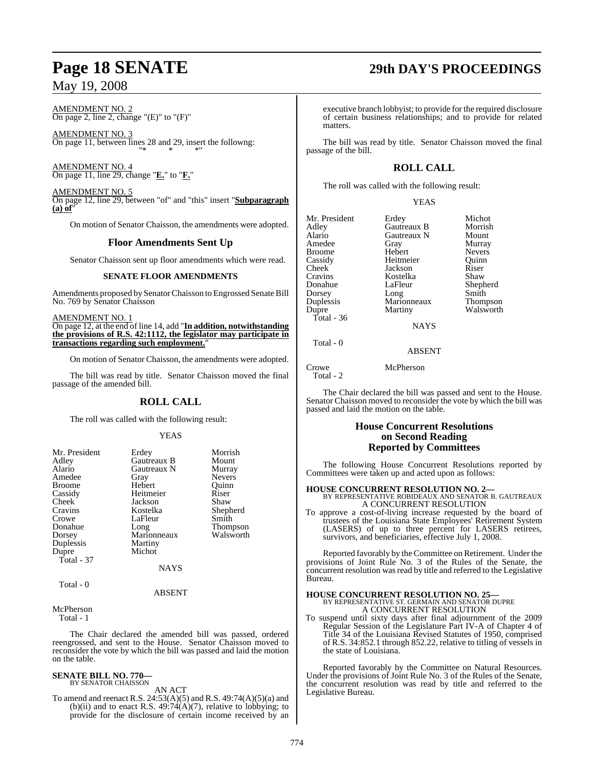AMENDMENT NO. 2 On page 2, line 2, change " $(E)$ " to " $(F)$ "

AMENDMENT NO. 3 On page 11, between lines 28 and 29, insert the followng: "\* \* \*"

AMENDMENT NO. 4 On page 11, line 29, change "**E.**" to "**F.**"

AMENDMENT NO. 5 On page 12, line 29, between "of" and "this" insert "**Subparagraph (a) of**"

On motion of Senator Chaisson, the amendments were adopted.

#### **Floor Amendments Sent Up**

Senator Chaisson sent up floor amendments which were read.

#### **SENATE FLOOR AMENDMENTS**

Amendments proposed by Senator Chaisson to Engrossed Senate Bill No. 769 by Senator Chaisson

AMENDMENT NO. 1 On page 12, at the end of line 14, add "**In addition, notwithstanding the provisions of R.S. 42:1112, the legislator may participate in transactions regarding such employment.**"

On motion of Senator Chaisson, the amendments were adopted.

The bill was read by title. Senator Chaisson moved the final passage of the amended bill.

### **ROLL CALL**

The roll was called with the following result:

#### YEAS

| Mr. President<br>Adley<br>Alario<br>Amedee<br><b>Broome</b><br>Cassidy<br>Cheek<br>Cravins<br>Crowe<br>Donahue | Erdey<br>Gautreaux B<br>Gautreaux N<br>Gray<br>Hebert<br>Heitmeier<br>Jackson<br>Kostelka<br>LaFleur<br>Long | Morrish<br>Mount<br>Murray<br><b>Nevers</b><br>Ouinn<br>Riser<br>Shaw<br>Shepherd<br>Smith<br><b>Thompson</b> |
|----------------------------------------------------------------------------------------------------------------|--------------------------------------------------------------------------------------------------------------|---------------------------------------------------------------------------------------------------------------|
| Dorsey                                                                                                         | Marionneaux                                                                                                  | Walsworth                                                                                                     |
| Duplessis                                                                                                      | Martiny                                                                                                      |                                                                                                               |
| Dupre                                                                                                          | Michot                                                                                                       |                                                                                                               |
| Total $-37$                                                                                                    |                                                                                                              |                                                                                                               |
|                                                                                                                | <b>NAYS</b>                                                                                                  |                                                                                                               |
| Total - 0                                                                                                      | $\sqrt{2}$                                                                                                   |                                                                                                               |

#### ABSENT

McPherson Total - 1

The Chair declared the amended bill was passed, ordered reengrossed, and sent to the House. Senator Chaisson moved to reconsider the vote by which the bill was passed and laid the motion on the table.

#### **SENATE BILL NO. 770—** BY SENATOR CHAISSON

AN ACT

To amend and reenact R.S. 24:53(A)(5) and R.S. 49:74(A)(5)(a) and (b)(ii) and to enact R.S.  $49:74(A)(7)$ , relative to lobbying; to provide for the disclosure of certain income received by an

# **Page 18 SENATE 29th DAY'S PROCEEDINGS**

executive branch lobbyist; to provide for the required disclosure of certain business relationships; and to provide for related matters.

The bill was read by title. Senator Chaisson moved the final passage of the bill.

## **ROLL CALL**

The roll was called with the following result:

#### YEAS

| Mr. President | Erdey       | Michot          |
|---------------|-------------|-----------------|
| Adley         | Gautreaux B | Morrish         |
| Alario        | Gautreaux N | Mount           |
| Amedee        | Gray        | Murray          |
| <b>Broome</b> | Hebert      | <b>Nevers</b>   |
| Cassidy       | Heitmeier   | Quinn           |
| Cheek         | Jackson     | Riser           |
| Cravins       | Kostelka    | Shaw            |
| Donahue       | LaFleur     | Shepherd        |
| Dorsey        | Long        | Smith           |
| Duplessis     | Marionneaux | <b>Thompson</b> |
| Dupre         | Martiny     | Walsworth       |
| Total - 36    |             |                 |
|               | <b>NAYS</b> |                 |
| Total - 0     |             |                 |

ABSENT

Crowe McPherson

Total - 2

The Chair declared the bill was passed and sent to the House. Senator Chaisson moved to reconsider the vote by which the bill was passed and laid the motion on the table.

#### **House Concurrent Resolutions on Second Reading Reported by Committees**

The following House Concurrent Resolutions reported by Committees were taken up and acted upon as follows:

#### **HOUSE CONCURRENT RESOLUTION NO. 2—**

BY REPRESENTATIVE ROBIDEAUX AND SENATOR B. GAUTREAUX A CONCURRENT RESOLUTION

To approve a cost-of-living increase requested by the board of trustees of the Louisiana State Employees' Retirement System (LASERS) of up to three percent for LASERS retirees, survivors, and beneficiaries, effective July 1, 2008.

Reported favorably by the Committee on Retirement. Under the provisions of Joint Rule No. 3 of the Rules of the Senate, the concurrent resolution wasread by title and referred to the Legislative Bureau.

# **HOUSE CONCURRENT RESOLUTION NO. 25—** BY REPRESENTATIVE ST. GERMAIN AND SENATOR DUPRE

A CONCURRENT RESOLUTION

To suspend until sixty days after final adjournment of the 2009 Regular Session of the Legislature Part IV-A of Chapter 4 of Title 34 of the Louisiana Revised Statutes of 1950, comprised of R.S. 34:852.1 through 852.22, relative to titling of vessels in the state of Louisiana.

Reported favorably by the Committee on Natural Resources. Under the provisions of Joint Rule No. 3 of the Rules of the Senate, the concurrent resolution was read by title and referred to the Legislative Bureau.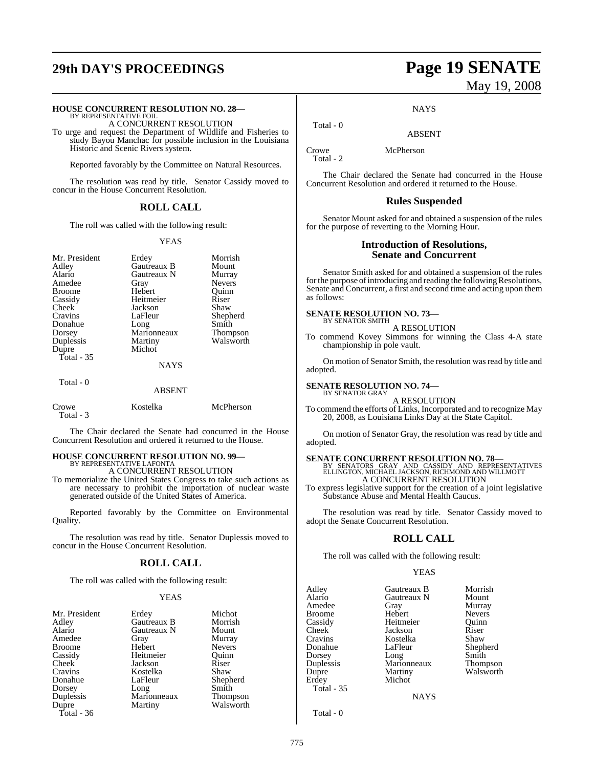# **29th DAY'S PROCEEDINGS Page 19 SENATE**

# **HOUSE CONCURRENT RESOLUTION NO. 28—** BY REPRESENTATIVE FOIL

A CONCURRENT RESOLUTION

To urge and request the Department of Wildlife and Fisheries to study Bayou Manchac for possible inclusion in the Louisiana Historic and Scenic Rivers system.

Reported favorably by the Committee on Natural Resources.

The resolution was read by title. Senator Cassidy moved to concur in the House Concurrent Resolution.

#### **ROLL CALL**

The roll was called with the following result:

#### YEAS

| Mr. President<br>Adley<br>Alario<br>Amedee<br><b>Broome</b><br>Cassidy<br><b>Cheek</b><br>Cravins<br>Donahue<br>Dorsey<br>Duplessis<br>Dupre<br>Total $-35$<br>Total - 0 | Erdey<br>Gautreaux B<br>Gautreaux N<br>Gray<br>Hebert<br>Heitmeier<br>Jackson<br>LaFleur<br>Long<br>Marionneaux<br>Martiny<br>Michot<br><b>NAYS</b><br><b>ABSENT</b> | Morrish<br>Mount<br>Murray<br><b>Nevers</b><br>Ouinn<br>Riser<br>Shaw<br>Shepherd<br>Smith<br>Thompson<br>Walsworth |
|--------------------------------------------------------------------------------------------------------------------------------------------------------------------------|----------------------------------------------------------------------------------------------------------------------------------------------------------------------|---------------------------------------------------------------------------------------------------------------------|
| Crowe<br>Total - 3                                                                                                                                                       | Kostelka                                                                                                                                                             | McPherson                                                                                                           |

The Chair declared the Senate had concurred in the House Concurrent Resolution and ordered it returned to the House.

#### **HOUSE CONCURRENT RESOLUTION NO. 99—** BY REPRESENTATIVE LAFONTA

A CONCURRENT RESOLUTION

To memorialize the United States Congress to take such actions as are necessary to prohibit the importation of nuclear waste generated outside of the United States of America.

Reported favorably by the Committee on Environmental Quality.

The resolution was read by title. Senator Duplessis moved to concur in the House Concurrent Resolution.

#### **ROLL CALL**

The roll was called with the following result:

#### YEAS

| Mr. President | Erdey       | Michot          |
|---------------|-------------|-----------------|
| Adley         | Gautreaux B | Morrish         |
| Alario        | Gautreaux N | Mount           |
| Amedee        | Gray        | Murray          |
| <b>Broome</b> | Hebert      | <b>Nevers</b>   |
| Cassidy       | Heitmeier   | Ouinn           |
| Cheek         | Jackson     | Riser           |
| Cravins       | Kostelka    | Shaw            |
| Donahue       | LaFleur     | Shepherd        |
| Dorsey        | Long        | Smith           |
| Duplessis     | Marionneaux | <b>Thompson</b> |
| Dupre         | Martiny     | Walsworth       |
| Total - 36    |             |                 |

# May 19, 2008

**NAYS** 

ABSENT

Crowe McPherson Total - 2

Total - 0

The Chair declared the Senate had concurred in the House Concurrent Resolution and ordered it returned to the House.

#### **Rules Suspended**

Senator Mount asked for and obtained a suspension of the rules for the purpose of reverting to the Morning Hour.

#### **Introduction of Resolutions, Senate and Concurrent**

Senator Smith asked for and obtained a suspension of the rules for the purpose of introducing and reading the following Resolutions, Senate and Concurrent, a first and second time and acting upon them as follows:

# **SENATE RESOLUTION NO. 73—**<br>BY SENATOR SMITH

A RESOLUTION

To commend Kovey Simmons for winning the Class 4-A state championship in pole vault.

On motion of Senator Smith, the resolution was read by title and adopted.

#### **SENATE RESOLUTION NO. 74—** BY SENATOR GRAY

A RESOLUTION

To commend the efforts of Links, Incorporated and to recognize May 20, 2008, as Louisiana Links Day at the State Capitol.

On motion of Senator Gray, the resolution was read by title and adopted.

**SENATE CONCURRENT RESOLUTION NO. 78—**<br>BY SENATORS GRAY AND CASSIDY AND REPRESENTATIVES<br>ELLINGTON, MICHAEL JACKSON, RICHMOND AND WILLMOTT A CONCURRENT RESOLUTION

To express legislative support for the creation of a joint legislative Substance Abuse and Mental Health Caucus.

The resolution was read by title. Senator Cassidy moved to adopt the Senate Concurrent Resolution.

## **ROLL CALL**

The roll was called with the following result:

#### YEAS

| Adley             | Gautreaux B | Morrish       |
|-------------------|-------------|---------------|
| Alario            | Gautreaux N | Mount         |
| Amedee            | Gray        | Murray        |
| <b>Broome</b>     | Hebert      | <b>Nevers</b> |
| Cassidy           | Heitmeier   | Ouinn         |
| Cheek             | Jackson     | Riser         |
| Cravins           | Kostelka    | Shaw          |
| Donahue           | LaFleur     | Shepherd      |
| Dorsey            | Long        | Smith         |
| Duplessis         | Marionneaux | Thompson      |
| Dupre             | Martiny     | Walsworth     |
| Erdey             | Michot      |               |
| <b>Total - 35</b> |             |               |
|                   | NAYS        |               |

**NAYS** 

Total - 0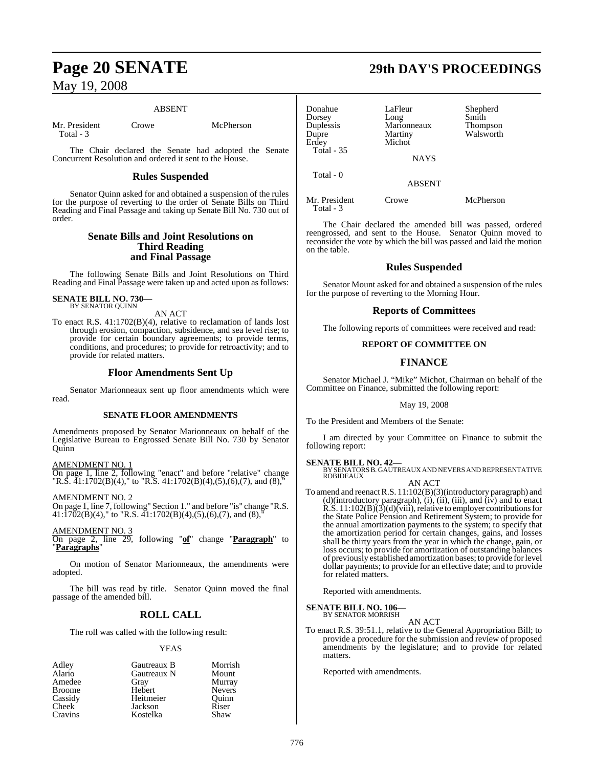#### ABSENT

Mr. President Crowe McPherson Total - 3

The Chair declared the Senate had adopted the Senate Concurrent Resolution and ordered it sent to the House.

#### **Rules Suspended**

Senator Quinn asked for and obtained a suspension of the rules for the purpose of reverting to the order of Senate Bills on Third Reading and Final Passage and taking up Senate Bill No. 730 out of order.

#### **Senate Bills and Joint Resolutions on Third Reading and Final Passage**

The following Senate Bills and Joint Resolutions on Third Reading and Final Passage were taken up and acted upon as follows:

#### **SENATE BILL NO. 730—** BY SENATOR QUINN

AN ACT

To enact R.S. 41:1702(B)(4), relative to reclamation of lands lost through erosion, compaction, subsidence, and sea level rise; to provide for certain boundary agreements; to provide terms, conditions, and procedures; to provide for retroactivity; and to provide for related matters.

### **Floor Amendments Sent Up**

Senator Marionneaux sent up floor amendments which were read.

#### **SENATE FLOOR AMENDMENTS**

Amendments proposed by Senator Marionneaux on behalf of the Legislative Bureau to Engrossed Senate Bill No. 730 by Senator Quinn

AMENDMENT NO. 1

On page 1, line 2, following "enact" and before "relative" change "R.S.  $\overline{4}1:1702(B)(4)$ ," to "R.S.  $41:1702(B)(4)$ , (5), (6), (7), and (8),"

AMENDMENT NO. 2

On page 1, line 7, following" Section 1." and before "is" change "R.S.  $41:\overline{1702(B)(4)}$ ," to "R.S.  $41:1702(B)(4),(5),(6),(7)$ , and  $(8)$ ,"

AMENDMENT NO. 3

On page 2, line 29, following "**of**" change "**Paragraph**" to "**Paragraphs**"

On motion of Senator Marionneaux, the amendments were adopted.

The bill was read by title. Senator Quinn moved the final passage of the amended bill.

## **ROLL CALL**

The roll was called with the following result:

#### YEAS

| Adley         | Gautreaux B | Morrish       |
|---------------|-------------|---------------|
| Alario        | Gautreaux N | Mount         |
| Amedee        | Gray        | Murray        |
| <b>Broome</b> | Hebert      | <b>Nevers</b> |
| Cassidy       | Heitmeier   | Quinn         |
| Cheek         | Jackson     | Riser         |
| Cravins       | Kostelka    | Shaw          |

# **Page 20 SENATE 29th DAY'S PROCEEDINGS**

| Donahue<br>Dorsey<br>Duplessis<br>Dupre<br>Erdey | LaFleur<br>Long<br>Marionneaux<br>Martiny<br>Michot | Shepherd<br>Smith<br>Thompson<br>Walsworth |
|--------------------------------------------------|-----------------------------------------------------|--------------------------------------------|
| <b>Total - 35</b>                                | <b>NAYS</b>                                         |                                            |
| Total - 0                                        | <b>ABSENT</b>                                       |                                            |

Mr. President Crowe McPherson Total - 3

The Chair declared the amended bill was passed, ordered reengrossed, and sent to the House. Senator Quinn moved to reconsider the vote by which the bill was passed and laid the motion on the table.

### **Rules Suspended**

Senator Mount asked for and obtained a suspension of the rules for the purpose of reverting to the Morning Hour.

### **Reports of Committees**

The following reports of committees were received and read:

#### **REPORT OF COMMITTEE ON**

## **FINANCE**

Senator Michael J. "Mike" Michot, Chairman on behalf of the Committee on Finance, submitted the following report:

#### May 19, 2008

To the President and Members of the Senate:

I am directed by your Committee on Finance to submit the following report:

#### **SENATE BILL NO. 42—**

BY SENATORSB. GAUTREAUX AND NEVERSAND REPRESENTATIVE ROBIDEAUX

AN ACT

To amend and reenact R.S. 11:102(B)(3)(introductory paragraph) and (d)(introductory paragraph), (i), (ii), (iii), and (iv) and to enact  $R.S. 11:102(B)(3)(d)(viii)$ , relative to employer contributions for the State Police Pension and Retirement System; to provide for the annual amortization payments to the system; to specify that the amortization period for certain changes, gains, and losses shall be thirty years from the year in which the change, gain, or loss occurs; to provide for amortization of outstanding balances of previously established amortization bases; to provide for level dollar payments; to provide for an effective date; and to provide for related matters.

Reported with amendments.

# **SENATE BILL NO. 106—** BY SENATOR MORRISH

AN ACT

To enact R.S. 39:51.1, relative to the General Appropriation Bill; to provide a procedure for the submission and review of proposed amendments by the legislature; and to provide for related matters.

Reported with amendments.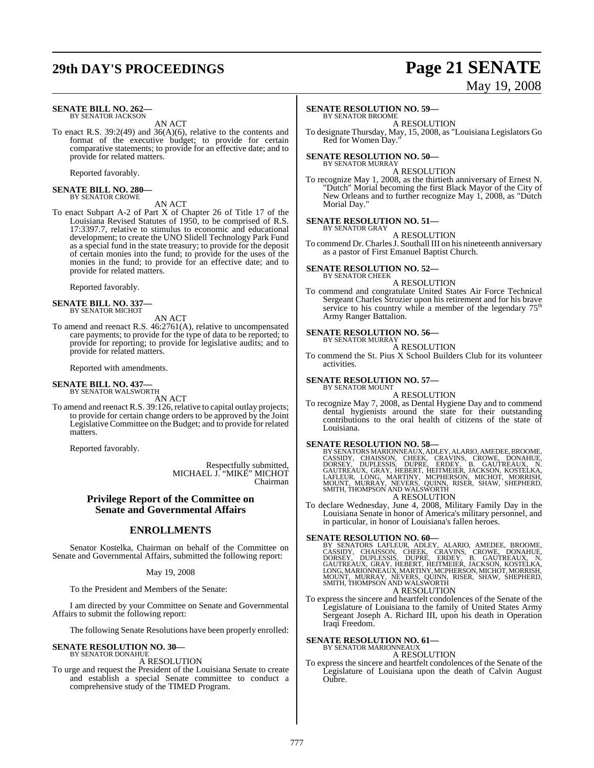# **29th DAY'S PROCEEDINGS Page 21 SENATE**

#### **SENATE BILL NO. 262—** BY SENATOR JACKSON

AN ACT

To enact R.S. 39:2(49) and 36(A)(6), relative to the contents and format of the executive budget; to provide for certain comparative statements; to provide for an effective date; and to provide for related matters.

Reported favorably.

# **SENATE BILL NO. 280—** BY SENATOR CROWE

AN ACT

To enact Subpart A-2 of Part X of Chapter 26 of Title 17 of the Louisiana Revised Statutes of 1950, to be comprised of R.S. 17:3397.7, relative to stimulus to economic and educational development; to create the UNO Slidell Technology Park Fund as a special fund in the state treasury; to provide for the deposit of certain monies into the fund; to provide for the uses of the monies in the fund; to provide for an effective date; and to provide for related matters.

Reported favorably.

#### **SENATE BILL NO. 337—** BY SENATOR MICHOT

AN ACT To amend and reenact R.S. 46:2761(A), relative to uncompensated care payments; to provide for the type of data to be reported; to provide for reporting; to provide for legislative audits; and to provide for related matters.

Reported with amendments.

# **SENATE BILL NO. 437—** BY SENATOR WALSWORTH

AN ACT

To amend and reenact R.S. 39:126, relative to capital outlay projects; to provide for certain change orders to be approved by the Joint Legislative Committee on the Budget; and to provide for related matters.

Reported favorably.

Respectfully submitted, MICHAEL J. "MIKE" MICHOT Chairman

#### **Privilege Report of the Committee on Senate and Governmental Affairs**

## **ENROLLMENTS**

Senator Kostelka, Chairman on behalf of the Committee on Senate and Governmental Affairs, submitted the following report:

#### May 19, 2008

To the President and Members of the Senate:

I am directed by your Committee on Senate and Governmental Affairs to submit the following report:

The following Senate Resolutions have been properly enrolled:

#### **SENATE RESOLUTION NO. 30—** BY SENATOR DONAHUE

A RESOLUTION

To urge and request the President of the Louisiana Senate to create and establish a special Senate committee to conduct a comprehensive study of the TIMED Program.

#### **SENATE RESOLUTION NO. 59—**

BY SENATOR BROOME A RESOLUTION

To designate Thursday, May, 15, 2008, as "Louisiana Legislators Go Red for Women Day.

# **SENATE RESOLUTION NO. 50—** BY SENATOR MURRAY

A RESOLUTION

To recognize May 1, 2008, as the thirtieth anniversary of Ernest N. "Dutch" Morial becoming the first Black Mayor of the City of New Orleans and to further recognize May 1, 2008, as "Dutch Morial Day."

#### **SENATE RESOLUTION NO. 51—**

BY SENATOR GRAY A RESOLUTION

To commend Dr. Charles J. Southall III on his nineteenth anniversary as a pastor of First Emanuel Baptist Church.

#### **SENATE RESOLUTION NO. 52—** BY SENATOR CHEEK

A RESOLUTION

To commend and congratulate United States Air Force Technical Sergeant Charles Strozier upon his retirement and for his brave service to his country while a member of the legendary  $75<sup>th</sup>$ Army Ranger Battalion.

#### **SENATE RESOLUTION NO. 56—** BY SENATOR MURRAY

A RESOLUTION

To commend the St. Pius X School Builders Club for its volunteer activities.

#### **SENATE RESOLUTION NO. 57—** BY SENATOR MOUNT

A RESOLUTION

To recognize May 7, 2008, as Dental Hygiene Day and to commend dental hygienists around the state for their outstanding contributions to the oral health of citizens of the state of Louisiana.

SENATE RESOLUTION NO. 58—<br>BY SENATORS MARIONNEAUX, ADLEY, ALARIO, AMEDEE, BROOME, CASSIDY, CHAISSON, CHEEK, CRAVINS, CROWE, DONAHUE, DORSEY, DUPLESSIS, DUPRE, ERDEY, B. GAUTREAUX, N.<br>GAUTREAUX, GRAY, HEBERT, HEITMEIER, JAC

## A RESOLUTION

To declare Wednesday, June 4, 2008, Military Family Day in the Louisiana Senate in honor of America's military personnel, and in particular, in honor of Louisiana's fallen heroes.

#### **SENATE RESOLUTION NO. 60—**

BY SENATORS LAFLEUR, ADLEY, ALARIO, AMEDEE, BROOME,<br>CASSIDY, CHAISSON, CHEEK, CRAVINS, CROWE, DONAHUE,<br>DORSEY, DUPLESSIS, DUPRE, ERDEY, B. GAUTREAUX, N.<br>GAUTREAUX, GRAY, HEBERT, HEITMEIER, JACKSON, KOSTELKA,<br>LONG,MARIONNEA A RESOLUTION

To express the sincere and heartfelt condolences of the Senate of the Legislature of Louisiana to the family of United States Army Sergeant Joseph A. Richard III, upon his death in Operation Iraqi Freedom.

#### **SENATE RESOLUTION NO. 61—**

BY SENATOR MARIONNEAUX A RESOLUTION

To express the sincere and heartfelt condolences of the Senate of the Legislature of Louisiana upon the death of Calvin August Oubre.

# May 19, 2008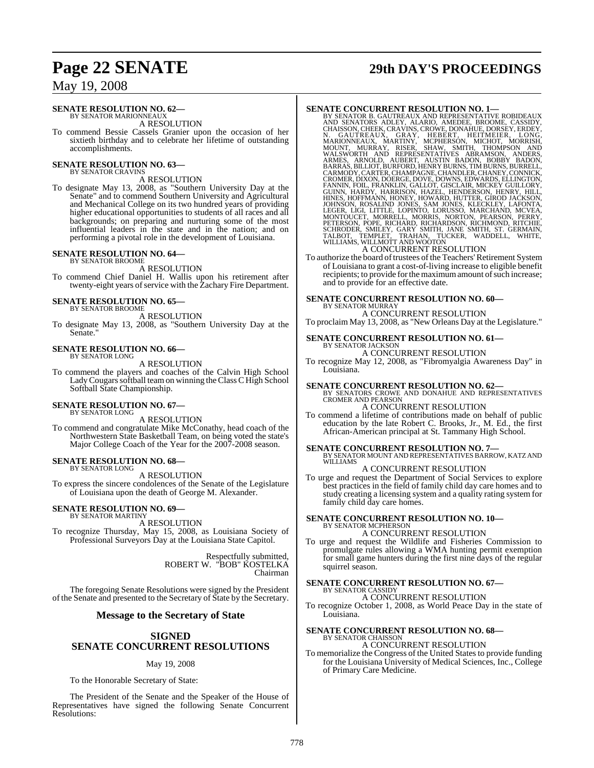#### **SENATE RESOLUTION NO. 62—** BY SENATOR MARIONNEAUX

A RESOLUTION

To commend Bessie Cassels Granier upon the occasion of her sixtieth birthday and to celebrate her lifetime of outstanding accomplishments.

#### **SENATE RESOLUTION NO. 63—** BY SENATOR CRAVINS

A RESOLUTION

To designate May 13, 2008, as "Southern University Day at the Senate" and to commend Southern University and Agricultural and Mechanical College on its two hundred years of providing higher educational opportunities to students of all races and all backgrounds; on preparing and nurturing some of the most influential leaders in the state and in the nation; and on performing a pivotal role in the development of Louisiana.

#### **SENATE RESOLUTION NO. 64—** BY SENATOR BROOME

A RESOLUTION

To commend Chief Daniel H. Wallis upon his retirement after twenty-eight years of service with the Zachary Fire Department.

#### **SENATE RESOLUTION NO. 65—** BY SENATOR BROOME

A RESOLUTION

To designate May 13, 2008, as "Southern University Day at the Senate.'

#### **SENATE RESOLUTION NO. 66—** BY SENATOR LONG

A RESOLUTION

To commend the players and coaches of the Calvin High School Lady Cougars softball team on winning the Class C High School Softball State Championship.

# **SENATE RESOLUTION NO. 67—** BY SENATOR LONG

A RESOLUTION

To commend and congratulate Mike McConathy, head coach of the Northwestern State Basketball Team, on being voted the state's Major College Coach of the Year for the 2007-2008 season.

#### **SENATE RESOLUTION NO. 68—** BY SENATOR LONG

A RESOLUTION

To express the sincere condolences of the Senate of the Legislature of Louisiana upon the death of George M. Alexander.

#### **SENATE RESOLUTION NO. 69—** BY SENATOR MARTINY

A RESOLUTION To recognize Thursday, May 15, 2008, as Louisiana Society of Professional Surveyors Day at the Louisiana State Capitol.

> Respectfully submitted, ROBERT W. "BOB" KOSTELKA Chairman

The foregoing Senate Resolutions were signed by the President of the Senate and presented to the Secretary of State by the Secretary.

#### **Message to the Secretary of State**

#### **SIGNED**

## **SENATE CONCURRENT RESOLUTIONS**

#### May 19, 2008

To the Honorable Secretary of State:

The President of the Senate and the Speaker of the House of Representatives have signed the following Senate Concurrent Resolutions:

# **Page 22 SENATE 29th DAY'S PROCEEDINGS**

**SENATE CONCURRENT RESOLUTION NO. 1—**<br>BY SENATOR B. GAUTREAUX AND REPRESENTATIVE ROBIDEAUX<br>AND SENATORS ADLEY, ALARIO, AMEDEE, BROOME, CASSIDY,<br>CHAISSON, CHEEK, CRAVINS, CROYE, DONAHUE, DORSEY, ERDEY,<br>N. GAUTREAUX, GRAY, H

A CONCURRENT RESOLUTION<br>To authorize the board of trustees of the Teachers' Retirement System of Louisiana to grant a cost-of-living increase to eligible benefit recipients; to provide for the maximum amount of such increase; and to provide for an effective date.

# **SENATE CONCURRENT RESOLUTION NO. 60—** BY SENATOR MURRAY

A CONCURRENT RESOLUTION To proclaim May 13, 2008, as "New Orleans Day at the Legislature."

# **SENATE CONCURRENT RESOLUTION NO. 61—** BY SENATOR JACKSON

A CONCURRENT RESOLUTION

To recognize May 12, 2008, as "Fibromyalgia Awareness Day" in Louisiana.

## **SENATE CONCURRENT RESOLUTION NO. 62—**

BY SENATORS CROWE AND DONAHUE AND REPRESENTATIVES CROMER AND PEARSON A CONCURRENT RESOLUTION

To commend a lifetime of contributions made on behalf of public education by the late Robert C. Brooks, Jr., M. Ed., the first African-American principal at St. Tammany High School.

**SENATE CONCURRENT RESOLUTION NO. 7—**<br>BY SENATOR MOUNT AND REPRESENTATIVES BARROW, KATZ AND<br>WILLIAMS

## A CONCURRENT RESOLUTION

To urge and request the Department of Social Services to explore best practices in the field of family child day care homes and to study creating a licensing system and a quality rating system for family child day care homes.

# **SENATE CONCURRENT RESOLUTION NO. 10—** BY SENATOR MCPHERSON

A CONCURRENT RESOLUTION

To urge and request the Wildlife and Fisheries Commission to promulgate rules allowing a WMA hunting permit exemption for small game hunters during the first nine days of the regular squirrel season.

#### **SENATE CONCURRENT RESOLUTION NO. 67—** BY SENATOR CASSIDY

A CONCURRENT RESOLUTION

To recognize October 1, 2008, as World Peace Day in the state of Louisiana.

# **SENATE CONCURRENT RESOLUTION NO. 68—** BY SENATOR CHAISSON

A CONCURRENT RESOLUTION

To memorialize the Congress of the United States to provide funding for the Louisiana University of Medical Sciences, Inc., College of Primary Care Medicine.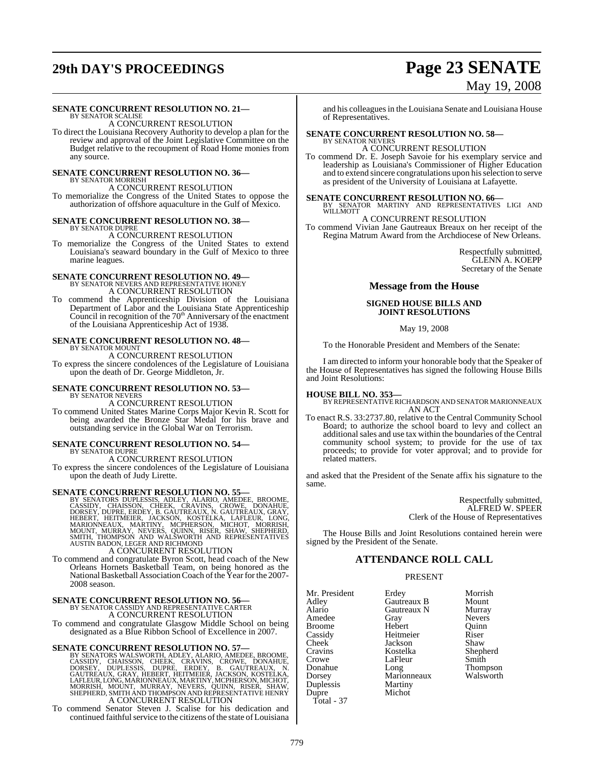# **29th DAY'S PROCEEDINGS Page 23 SENATE**

# May 19, 2008

## **SENATE CONCURRENT RESOLUTION NO. 21—**

BY SENATOR SCALISE A CONCURRENT RESOLUTION

To direct the Louisiana Recovery Authority to develop a plan for the review and approval of the Joint Legislative Committee on the Budget relative to the recoupment of Road Home monies from any source.

#### **SENATE CONCURRENT RESOLUTION NO. 36—** BY SENATOR MORRISH

A CONCURRENT RESOLUTION To memorialize the Congress of the United States to oppose the authorization of offshore aquaculture in the Gulf of Mexico.

#### **SENATE CONCURRENT RESOLUTION NO. 38— BY SENATOR DUPRE**

A CONCURRENT RESOLUTION

To memorialize the Congress of the United States to extend Louisiana's seaward boundary in the Gulf of Mexico to three marine leagues.

## **SENATE CONCURRENT RESOLUTION NO. 49—** BY SENATOR NEVERS AND REPRESENTATIVE HONEY A CONCURRENT RESOLUTION

To commend the Apprenticeship Division of the Louisiana Department of Labor and the Louisiana State Apprenticeship<br>Council in recognition of the 70<sup>th</sup> Anniversary of the enactment of the Louisiana Apprenticeship Act of 1938.

#### **SENATE CONCURRENT RESOLUTION NO. 48—** BY SENATOR MOUNT

A CONCURRENT RESOLUTION

To express the sincere condolences of the Legislature of Louisiana upon the death of Dr. George Middleton, Jr.

#### **SENATE CONCURRENT RESOLUTION NO. 53—** BY SENATOR NEVERS

A CONCURRENT RESOLUTION To commend United States Marine Corps Major Kevin R. Scott for being awarded the Bronze Star Medal for his brave and outstanding service in the Global War on Terrorism.

#### **SENATE CONCURRENT RESOLUTION NO. 54—** BY SENATOR DUPRE

A CONCURRENT RESOLUTION

To express the sincere condolences of the Legislature of Louisiana upon the death of Judy Lirette.

SENATE CONCURRENT RESOLUTION NO. 55—<br>BY SENATORS DUPLESSIS, ADLEY, ALARIO, AMEDEE, BROOME, CASSIDY, CHAISSON, CHEEK, CRAVINS, CROWE, DONAHUE,<br>DORSEY, DUPRE, ERDEY, B. GAUTREAUX, N. GAUTREAUX, GRAY,<br>HEBERT, HEITMEIER, JACKS

To commend and congratulate Byron Scott, head coach of the New Orleans Hornets Basketball Team, on being honored as the National Basketball Association Coach of the Year for the 2007-2008 season.

# **SENATE CONCURRENT RESOLUTION NO. 56—**<br>BY SENATOR CASSIDY AND REPRESENTATIVE CARTER A CONCURRENT RESOLUTION

To commend and congratulate Glasgow Middle School on being designated as a Blue Ribbon School of Excellence in 2007.

**SENATE CONCURRENT RESOLUTION NO. 57—BY SENATORS WALSWORTH, ADLEY, ALARIO, AMEDEE, BROOME, CASSIDY, CHAISSON, CHEEK, CRAVINS, CROWE, DONAHUE, DORSEY, DUPLESSIS, DUPRE, ERDEY, B. GAUTREAUX, N. GAUTREAUX, GRAY, HEBERT, HEITM** A CONCURRENT RESOLUTION

To commend Senator Steven J. Scalise for his dedication and continued faithful service to the citizens of the state of Louisiana and his colleagues in the Louisiana Senate and Louisiana House of Representatives.

# **SENATE CONCURRENT RESOLUTION NO. 58—** BY SENATOR NEVERS

A CONCURRENT RESOLUTION

To commend Dr. E. Joseph Savoie for his exemplary service and leadership as Louisiana's Commissioner of Higher Education and to extend sincere congratulations upon hisselection to serve as president of the University of Louisiana at Lafayette.

# **SENATE CONCURRENT RESOLUTION NO. 66—**<br>BY SENATOR MARTINY AND REPRESENTATIVES LIGI AND WILLMOTT

#### A CONCURRENT RESOLUTION

To commend Vivian Jane Gautreaux Breaux on her receipt of the Regina Matrum Award from the Archdiocese of New Orleans.

> Respectfully submitted, GLENN A. KOEPP Secretary of the Senate

#### **Message from the House**

#### **SIGNED HOUSE BILLS AND JOINT RESOLUTIONS**

#### May 19, 2008

To the Honorable President and Members of the Senate:

I am directed to inform your honorable body that the Speaker of the House of Representatives has signed the following House Bills and Joint Resolutions:

**HOUSE BILL NO. 353—** BY REPRESENTATIVERICHARDSON AND SENATOR MARIONNEAUX AN ACT

To enact R.S. 33:2737.80, relative to the Central Community School Board; to authorize the school board to levy and collect an additional sales and use tax within the boundaries of the Central community school system; to provide for the use of tax proceeds; to provide for voter approval; and to provide for related matters.

and asked that the President of the Senate affix his signature to the same.

> Respectfully submitted, ALFRED W. SPEER Clerk of the House of Representatives

The House Bills and Joint Resolutions contained herein were signed by the President of the Senate.

## **ATTENDANCE ROLL CALL**

#### PRESENT

Marionneaux<br>Martiny

Mr. President Erdey Morrish<br>Adley Gautreaux B Mount Adley Gautreaux B Mount<br>Alario Gautreaux N Murray Amedee Gray Nevers<br>Broome Hebert Ouinn Broome Hebert Quinr<br>
Cassidy Heitmeier Riser Cassidy Heitmeier Riser Cheek Jackson<br>Cravins Kostelka Cravins Kostelka Shepherd Crowe LaFleur<br>Donahue Long Donahue Long Thompson Duplessis Martiny Dupre Total - 37

Gautreaux N Murray<br>Gray Nevers